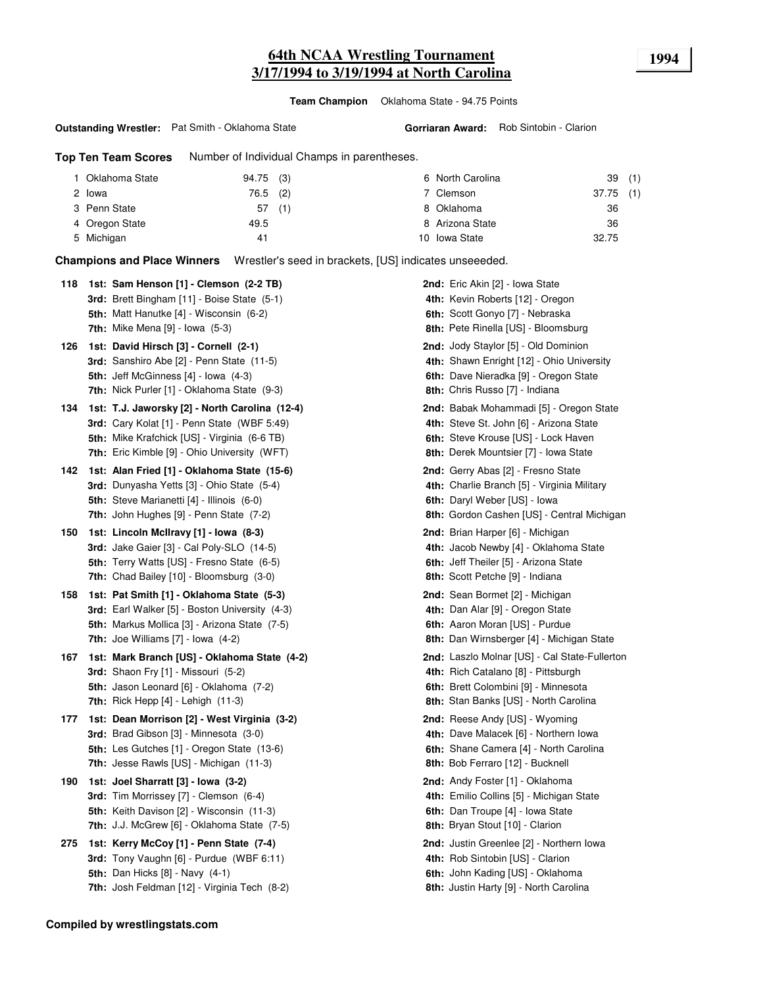## **64th NCAA Wrestling Tournament 1994 3/17/1994 to 3/19/1994 at North Carolina**

**Team Champion** Oklahoma State - 94.75 Points

#### **Outstanding Wrestler:** Pat Smith - Oklahoma State

**Top Ten Team Scores** Number of Individual Champs in parentheses.

| 1 Oklahoma State | 94.75 (3) |     | 6 North Carolina | 39(1)       |  |
|------------------|-----------|-----|------------------|-------------|--|
| 2 Iowa           | 76.5 (2)  |     | 7 Clemson        | $37.75$ (1) |  |
| 3 Penn State     | 57        | (1) | 8 Oklahoma       | 36          |  |
| 4 Oregon State   | 49.5      |     | 8 Arizona State  | 36          |  |
| 5 Michigan       | 41        |     | 10 Iowa State    | 32.75       |  |

**Champions and Place Winners** Wrestler's seed in brackets, [US] indicates unseeeded.

|     | 118 1st: Sam Henson [1] - Clemson (2-2 TB)<br>3rd: Brett Bingham [11] - Boise State (5-1)                                                                                                                   | 2nd: Eric Akin [2] - Iowa State<br>4th: Kevin Roberts [12] - Oregon                                                                                                   |
|-----|-------------------------------------------------------------------------------------------------------------------------------------------------------------------------------------------------------------|-----------------------------------------------------------------------------------------------------------------------------------------------------------------------|
|     | 5th: Matt Hanutke [4] - Wisconsin (6-2)<br>7th: Mike Mena $[9]$ - Iowa $(5-3)$                                                                                                                              | 6th: Scott Gonyo [7] - Nebraska<br>8th: Pete Rinella [US] - Bloomsburg                                                                                                |
| 126 | 1st: David Hirsch [3] - Cornell (2-1)<br>3rd: Sanshiro Abe [2] - Penn State (11-5)<br><b>5th:</b> Jeff McGinness [4] - lowa (4-3)<br>7th: Nick Purler [1] - Oklahoma State (9-3)                            | 2nd: Jody Staylor [5] - Old Dominion<br>4th: Shawn Enright [12] - Ohio University<br>6th: Dave Nieradka [9] - Oregon State<br>8th: Chris Russo [7] - Indiana          |
| 134 | 1st: T.J. Jaworsky [2] - North Carolina (12-4)<br>3rd: Cary Kolat [1] - Penn State (WBF 5:49)<br><b>5th:</b> Mike Krafchick [US] - Virginia (6-6 TB)<br><b>7th:</b> Eric Kimble [9] - Ohio University (WFT) | 2nd: Babak Mohammadi [5] - Oregon State<br>4th: Steve St. John [6] - Arizona State<br>6th: Steve Krouse [US] - Lock Haven<br>8th: Derek Mountsier [7] - Iowa State    |
| 142 | 1st: Alan Fried [1] - Oklahoma State (15-6)<br>3rd: Dunyasha Yetts [3] - Ohio State (5-4)<br>5th: Steve Marianetti [4] - Illinois (6-0)<br>7th: John Hughes [9] - Penn State (7-2)                          | 2nd: Gerry Abas [2] - Fresno State<br>4th: Charlie Branch [5] - Virginia Military<br>6th: Daryl Weber [US] - Iowa<br>8th: Gordon Cashen [US] - Central Michigan       |
| 150 | 1st: Lincoln McIlravy [1] - Iowa (8-3)<br><b>3rd:</b> Jake Gaier [3] - Cal Poly-SLO (14-5)<br><b>5th:</b> Terry Watts [US] - Fresno State (6-5)<br><b>7th:</b> Chad Bailey [10] - Bloomsburg (3-0)          | 2nd: Brian Harper [6] - Michigan<br>4th: Jacob Newby [4] - Oklahoma State<br>6th: Jeff Theiler [5] - Arizona State<br>8th: Scott Petche [9] - Indiana                 |
| 158 | 1st: Pat Smith [1] - Oklahoma State (5-3)<br>3rd: Earl Walker [5] - Boston University (4-3)<br><b>5th:</b> Markus Mollica [3] - Arizona State (7-5)<br><b>7th:</b> Joe Williams $[7]$ - lowa $(4-2)$        | <b>2nd:</b> Sean Bormet [2] - Michigan<br>4th: Dan Alar [9] - Oregon State<br>6th: Aaron Moran [US] - Purdue<br>8th: Dan Wirnsberger [4] - Michigan State             |
| 167 | 1st: Mark Branch [US] - Oklahoma State (4-2)<br>3rd: Shaon Fry [1] - Missouri (5-2)<br>5th: Jason Leonard [6] - Oklahoma (7-2)<br><b>7th:</b> Rick Hepp $[4]$ - Lehigh $(11-3)$                             | 2nd: Laszlo Molnar [US] - Cal State-Fullerton<br>4th: Rich Catalano [8] - Pittsburgh<br>6th: Brett Colombini [9] - Minnesota<br>8th: Stan Banks [US] - North Carolina |
| 177 | 1st: Dean Morrison [2] - West Virginia (3-2)<br>3rd: Brad Gibson [3] - Minnesota (3-0)<br><b>5th:</b> Les Gutches [1] - Oregon State (13-6)<br>7th: Jesse Rawls [US] - Michigan (11-3)                      | 2nd: Reese Andy [US] - Wyoming<br>4th: Dave Malacek [6] - Northern Iowa<br>6th: Shane Camera [4] - North Carolina<br>8th: Bob Ferraro [12] - Bucknell                 |
| 190 | 1st: Joel Sharratt [3] - Iowa (3-2)<br>3rd: Tim Morrissey [7] - Clemson (6-4)<br><b>5th:</b> Keith Davison [2] - Wisconsin (11-3)<br><b>7th:</b> J.J. McGrew $[6]$ - Oklahoma State $(7-5)$                 | <b>2nd:</b> Andy Foster [1] - Oklahoma<br>4th: Emilio Collins [5] - Michigan State<br>6th: Dan Troupe [4] - Iowa State<br>8th: Bryan Stout [10] - Clarion             |
| 275 | 1st: Kerry McCoy [1] - Penn State (7-4)<br>3rd: Tony Vaughn [6] - Purdue (WBF 6:11)<br>5th: Dan Hicks [8] - Navy (4-1)<br>7th: Josh Feldman [12] - Virginia Tech (8-2)                                      | 2nd: Justin Greenlee [2] - Northern Iowa<br>4th: Rob Sintobin [US] - Clarion<br>6th: John Kading [US] - Oklahoma<br>8th: Justin Harty [9] - North Carolina            |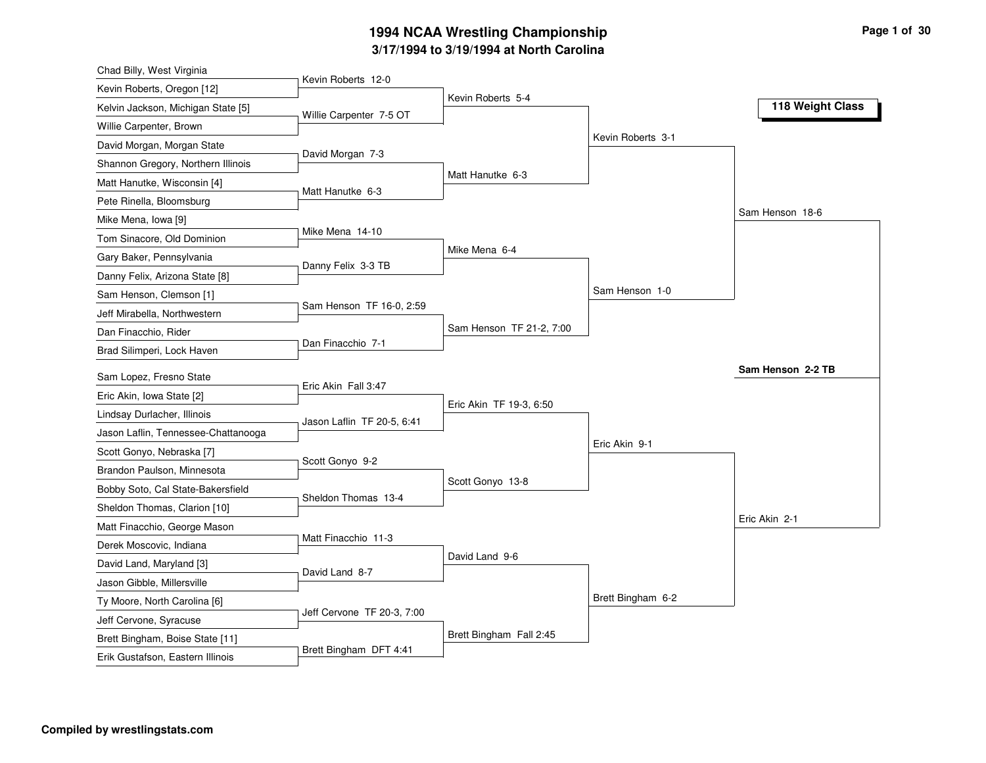| Chad Billy, West Virginia           |                            |                          |                   |                   |
|-------------------------------------|----------------------------|--------------------------|-------------------|-------------------|
| Kevin Roberts, Oregon [12]          | Kevin Roberts 12-0         |                          |                   |                   |
| Kelvin Jackson, Michigan State [5]  | Willie Carpenter 7-5 OT    | Kevin Roberts 5-4        |                   | 118 Weight Class  |
| Willie Carpenter, Brown             |                            |                          |                   |                   |
| David Morgan, Morgan State          |                            |                          | Kevin Roberts 3-1 |                   |
| Shannon Gregory, Northern Illinois  | David Morgan 7-3           |                          |                   |                   |
| Matt Hanutke, Wisconsin [4]         |                            | Matt Hanutke 6-3         |                   |                   |
| Pete Rinella, Bloomsburg            | Matt Hanutke 6-3           |                          |                   |                   |
| Mike Mena, Iowa [9]                 |                            |                          |                   | Sam Henson 18-6   |
| Tom Sinacore, Old Dominion          | Mike Mena 14-10            |                          |                   |                   |
| Gary Baker, Pennsylvania            |                            | Mike Mena 6-4            |                   |                   |
| Danny Felix, Arizona State [8]      | Danny Felix 3-3 TB         |                          |                   |                   |
| Sam Henson, Clemson [1]             |                            |                          | Sam Henson 1-0    |                   |
| Jeff Mirabella, Northwestern        | Sam Henson TF 16-0, 2:59   |                          |                   |                   |
| Dan Finacchio, Rider                |                            | Sam Henson TF 21-2, 7:00 |                   |                   |
| Brad Silimperi, Lock Haven          | Dan Finacchio 7-1          |                          |                   |                   |
| Sam Lopez, Fresno State             |                            |                          |                   | Sam Henson 2-2 TB |
| Eric Akin, Iowa State [2]           | Eric Akin Fall 3:47        |                          |                   |                   |
| Lindsay Durlacher, Illinois         |                            | Eric Akin TF 19-3, 6:50  |                   |                   |
| Jason Laflin, Tennessee-Chattanooga | Jason Laflin TF 20-5, 6:41 |                          |                   |                   |
| Scott Gonyo, Nebraska [7]           |                            |                          | Eric Akin 9-1     |                   |
| Brandon Paulson, Minnesota          | Scott Gonyo 9-2            |                          |                   |                   |
| Bobby Soto, Cal State-Bakersfield   |                            | Scott Gonyo 13-8         |                   |                   |
| Sheldon Thomas, Clarion [10]        | Sheldon Thomas 13-4        |                          |                   |                   |
| Matt Finacchio, George Mason        |                            |                          |                   | Eric Akin 2-1     |
| Derek Moscovic, Indiana             | Matt Finacchio 11-3        |                          |                   |                   |
| David Land, Maryland [3]            |                            | David Land 9-6           |                   |                   |
| Jason Gibble, Millersville          | David Land 8-7             |                          |                   |                   |
| Ty Moore, North Carolina [6]        |                            |                          | Brett Bingham 6-2 |                   |
| Jeff Cervone, Syracuse              | Jeff Cervone TF 20-3, 7:00 |                          |                   |                   |
|                                     |                            |                          |                   |                   |
| Brett Bingham, Boise State [11]     |                            | Brett Bingham Fall 2:45  |                   |                   |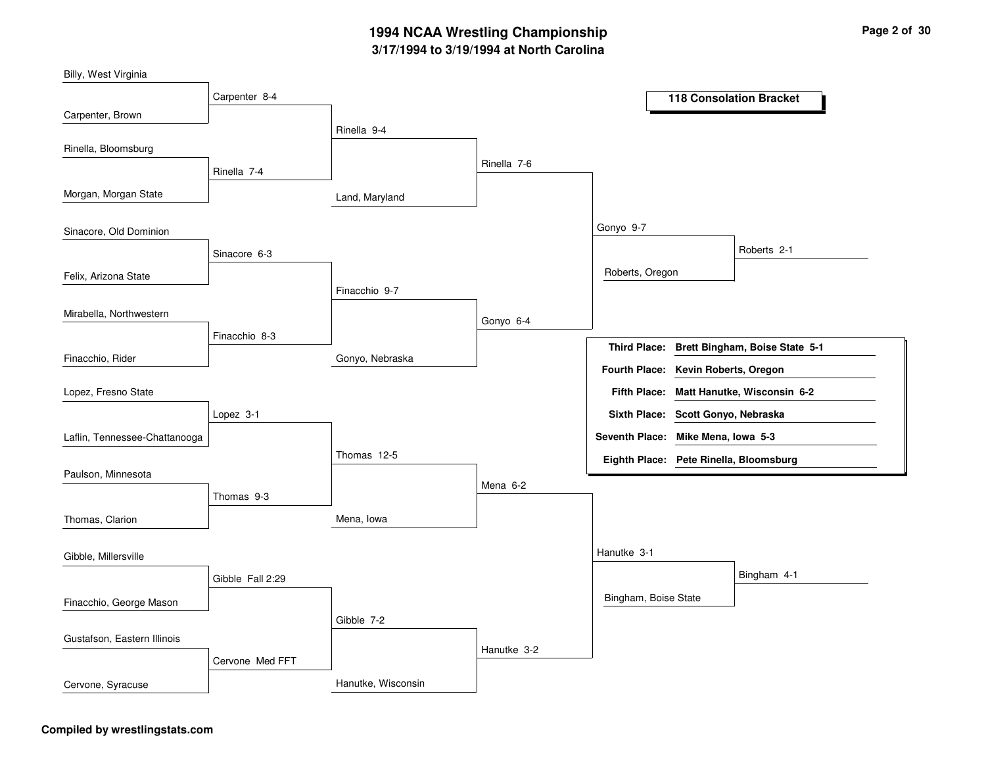Land, MarylandGonyo, NebraskaMena, IowaHanutke, WisconsinRinella 9-4Finacchio 9-7Thomas 12-5Gibble 7-2Rinella 7-6Gonyo 6-4Mena 6-2Hanutke 3-2Gonyo 9-7Hanutke 3-1Roberts, OregonBingham, Boise StateRoberts 2-1Bingham 4-1Carpenter 8-4Rinella 7-4Sinacore 6-3Finacchio 8-3Lopez 3-1Thomas 9-3Gibble Fall 2:29Cervone Med FFTCarpenter, BrownMorgan, Morgan StateFelix, Arizona StateFinacchio, RiderBilly, West VirginiaRinella, BloomsburgSinacore, Old DominionMirabella, NorthwesternLaflin, Tennessee-ChattanoogaLopez, Fresno StatePaulson, MinnesotaThomas, ClarionFinacchio, George MasonGibble, MillersvilleGustafson, Eastern IllinoisCervone, Syracuse**118 Consolation BracketBrett Bingham, Boise State 5-1Third Place:Matt Hanutke, Wisconsin 6-2Fifth Place:Seventh Place: Mike Mena, Iowa 5-3Eighth Place: Pete Rinella, BloomsburgFourth Place: Kevin Roberts, OregonSixth Place: Scott Gonyo, Nebraska**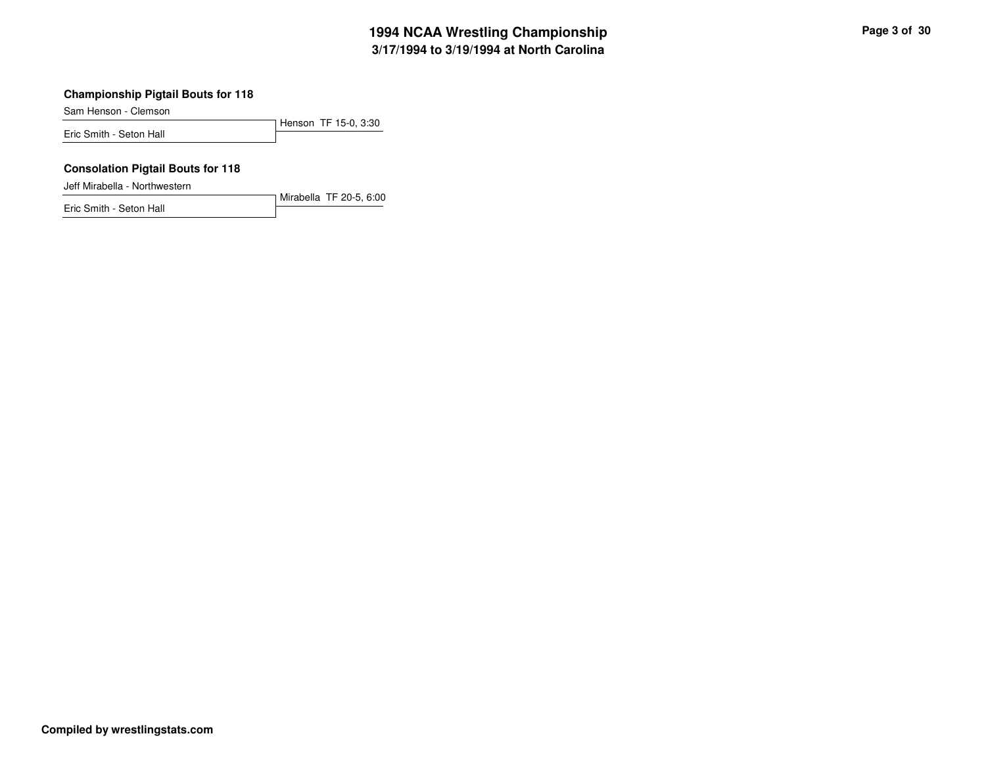### **Championship Pigtail Bouts for 118**

Sam Henson - Clemson

Henson TF 15-0, 3:30Eric Smith - Seton Hall

#### **Consolation Pigtail Bouts for 118**

Jeff Mirabella - Northwestern

Mirabella TF 20-5, 6:00Eric Smith - Seton Hall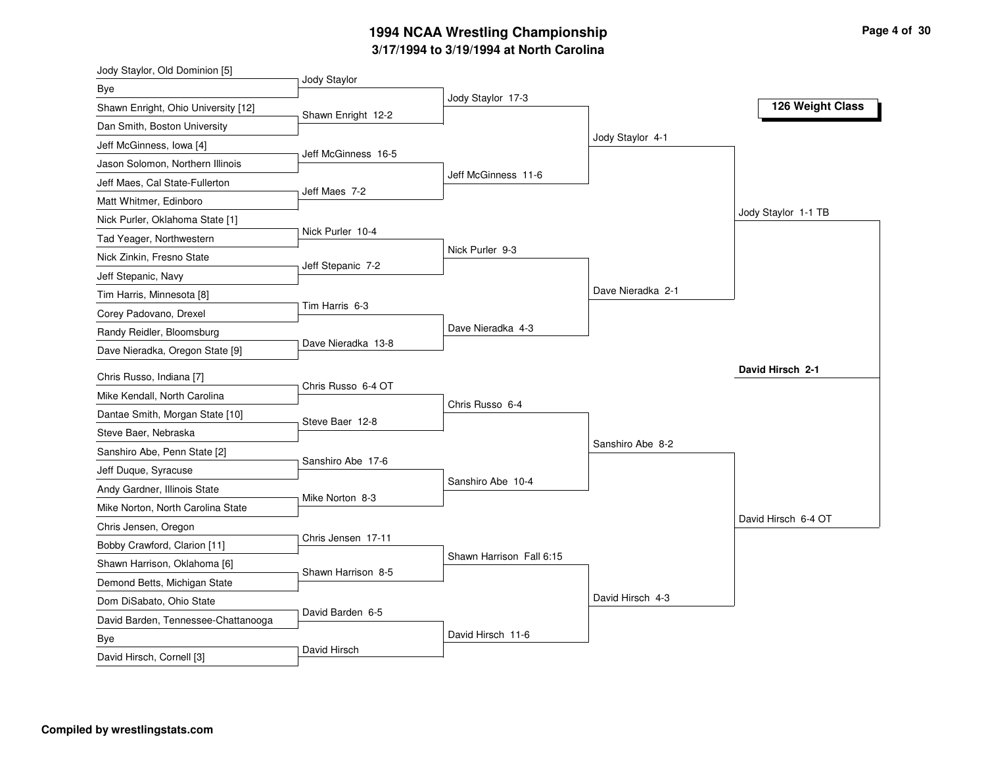| Jody Staylor, Old Dominion [5]                                    |                     |                          |                   |                     |
|-------------------------------------------------------------------|---------------------|--------------------------|-------------------|---------------------|
| Bye                                                               | Jody Staylor        | Jody Staylor 17-3        |                   |                     |
| Shawn Enright, Ohio University [12]                               | Shawn Enright 12-2  |                          |                   | 126 Weight Class    |
| Dan Smith, Boston University                                      |                     |                          |                   |                     |
| Jeff McGinness, Iowa [4]                                          |                     |                          | Jody Staylor 4-1  |                     |
| Jason Solomon, Northern Illinois                                  | Jeff McGinness 16-5 |                          |                   |                     |
| Jeff Maes, Cal State-Fullerton                                    |                     | Jeff McGinness 11-6      |                   |                     |
| Matt Whitmer, Edinboro                                            | Jeff Maes 7-2       |                          |                   |                     |
| Nick Purler, Oklahoma State [1]                                   |                     |                          |                   | Jody Staylor 1-1 TB |
| Tad Yeager, Northwestern                                          | Nick Purler 10-4    |                          |                   |                     |
| Nick Zinkin, Fresno State                                         |                     | Nick Purler 9-3          |                   |                     |
| Jeff Stepanic, Navy                                               | Jeff Stepanic 7-2   |                          |                   |                     |
| Tim Harris, Minnesota [8]                                         |                     |                          | Dave Nieradka 2-1 |                     |
| Corey Padovano, Drexel                                            | Tim Harris 6-3      |                          |                   |                     |
| Randy Reidler, Bloomsburg                                         |                     | Dave Nieradka 4-3        |                   |                     |
| Dave Nieradka, Oregon State [9]                                   | Dave Nieradka 13-8  |                          |                   |                     |
| Chris Russo, Indiana [7]                                          |                     |                          |                   | David Hirsch 2-1    |
| Mike Kendall, North Carolina                                      | Chris Russo 6-4 OT  |                          |                   |                     |
| Dantae Smith, Morgan State [10]                                   |                     | Chris Russo 6-4          |                   |                     |
| Steve Baer, Nebraska                                              | Steve Baer 12-8     |                          |                   |                     |
| Sanshiro Abe, Penn State [2]                                      |                     |                          | Sanshiro Abe 8-2  |                     |
|                                                                   | Sanshiro Abe 17-6   |                          |                   |                     |
| Jeff Duque, Syracuse                                              |                     | Sanshiro Abe 10-4        |                   |                     |
| Andy Gardner, Illinois State<br>Mike Norton, North Carolina State | Mike Norton 8-3     |                          |                   |                     |
|                                                                   |                     |                          |                   | David Hirsch 6-4 OT |
| Chris Jensen, Oregon                                              | Chris Jensen 17-11  |                          |                   |                     |
| Bobby Crawford, Clarion [11]                                      |                     | Shawn Harrison Fall 6:15 |                   |                     |
| Shawn Harrison, Oklahoma [6]                                      | Shawn Harrison 8-5  |                          |                   |                     |
| Demond Betts, Michigan State                                      |                     |                          | David Hirsch 4-3  |                     |
| Dom DiSabato, Ohio State                                          | David Barden 6-5    |                          |                   |                     |
| David Barden, Tennessee-Chattanooga                               |                     | David Hirsch 11-6        |                   |                     |
| <b>Bye</b><br>David Hirsch, Cornell [3]                           | David Hirsch        |                          |                   |                     |
|                                                                   |                     |                          |                   |                     |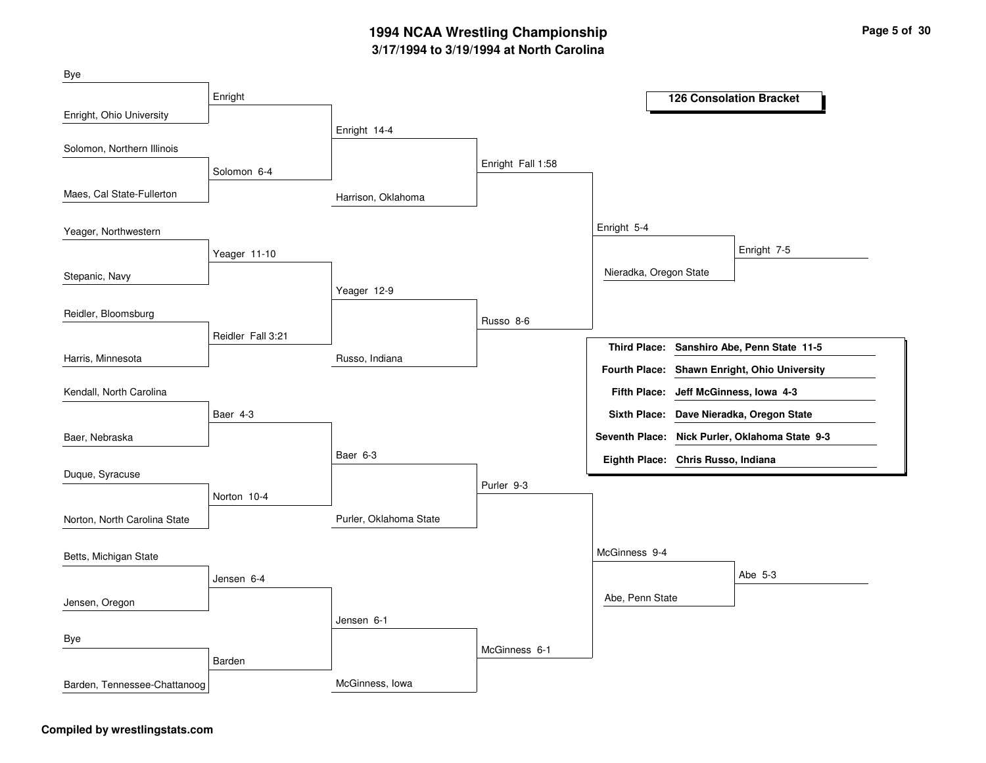| Bye                          |                   |                        |                   |                                    |                                                |
|------------------------------|-------------------|------------------------|-------------------|------------------------------------|------------------------------------------------|
|                              | Enright           |                        |                   |                                    | <b>126 Consolation Bracket</b>                 |
| Enright, Ohio University     |                   |                        |                   |                                    |                                                |
|                              |                   | Enright 14-4           |                   |                                    |                                                |
| Solomon, Northern Illinois   |                   |                        |                   |                                    |                                                |
|                              | Solomon 6-4       |                        | Enright Fall 1:58 |                                    |                                                |
| Maes, Cal State-Fullerton    |                   | Harrison, Oklahoma     |                   |                                    |                                                |
| Yeager, Northwestern         |                   |                        |                   | Enright 5-4                        |                                                |
|                              | Yeager 11-10      |                        |                   |                                    | Enright 7-5                                    |
| Stepanic, Navy               |                   |                        |                   | Nieradka, Oregon State             |                                                |
|                              |                   | Yeager 12-9            |                   |                                    |                                                |
| Reidler, Bloomsburg          |                   |                        | Russo 8-6         |                                    |                                                |
|                              | Reidler Fall 3:21 |                        |                   |                                    | Third Place: Sanshiro Abe, Penn State 11-5     |
| Harris, Minnesota            |                   | Russo, Indiana         |                   |                                    |                                                |
|                              |                   |                        |                   |                                    | Fourth Place: Shawn Enright, Ohio University   |
| Kendall, North Carolina      |                   |                        |                   |                                    | Fifth Place: Jeff McGinness, Iowa 4-3          |
|                              | Baer 4-3          |                        |                   |                                    | Sixth Place: Dave Nieradka, Oregon State       |
| Baer, Nebraska               |                   |                        |                   |                                    | Seventh Place: Nick Purler, Oklahoma State 9-3 |
|                              |                   | Baer 6-3               |                   | Eighth Place: Chris Russo, Indiana |                                                |
| Duque, Syracuse              |                   |                        |                   |                                    |                                                |
|                              | Norton 10-4       |                        | Purler 9-3        |                                    |                                                |
| Norton, North Carolina State |                   | Purler, Oklahoma State |                   |                                    |                                                |
| Betts, Michigan State        |                   |                        |                   | McGinness 9-4                      |                                                |
|                              |                   |                        |                   |                                    | Abe 5-3                                        |
|                              | Jensen 6-4        |                        |                   |                                    |                                                |
| Jensen, Oregon               |                   |                        |                   | Abe, Penn State                    |                                                |
|                              |                   | Jensen 6-1             |                   |                                    |                                                |
| Bye                          |                   |                        | McGinness 6-1     |                                    |                                                |
|                              | Barden            |                        |                   |                                    |                                                |
| Barden, Tennessee-Chattanoog |                   | McGinness, Iowa        |                   |                                    |                                                |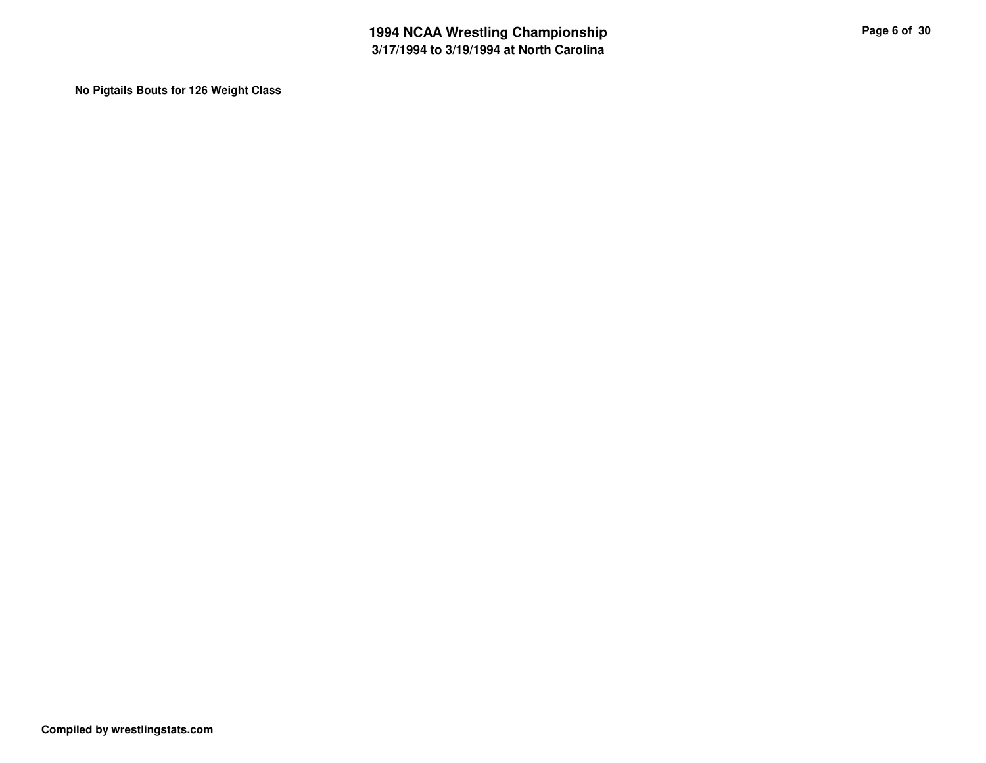**No Pigtails Bouts for 126 Weight Class**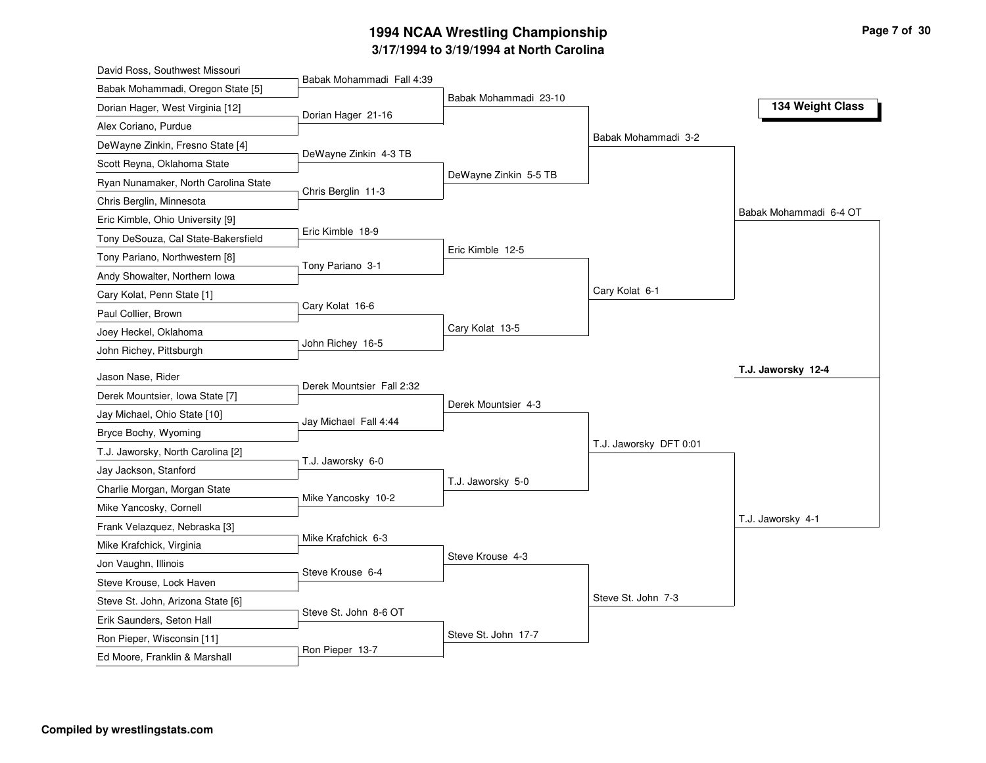| David Ross, Southwest Missouri       |                           |                       |                        |                        |
|--------------------------------------|---------------------------|-----------------------|------------------------|------------------------|
| Babak Mohammadi, Oregon State [5]    | Babak Mohammadi Fall 4:39 |                       |                        |                        |
| Dorian Hager, West Virginia [12]     | Dorian Hager 21-16        | Babak Mohammadi 23-10 |                        | 134 Weight Class       |
| Alex Coriano, Purdue                 |                           |                       |                        |                        |
| DeWayne Zinkin, Fresno State [4]     |                           |                       | Babak Mohammadi 3-2    |                        |
| Scott Reyna, Oklahoma State          | DeWayne Zinkin 4-3 TB     |                       |                        |                        |
| Ryan Nunamaker, North Carolina State |                           | DeWayne Zinkin 5-5 TB |                        |                        |
| Chris Berglin, Minnesota             | Chris Berglin 11-3        |                       |                        |                        |
| Eric Kimble, Ohio University [9]     |                           |                       |                        | Babak Mohammadi 6-4 OT |
| Tony DeSouza, Cal State-Bakersfield  | Eric Kimble 18-9          |                       |                        |                        |
| Tony Pariano, Northwestern [8]       |                           | Eric Kimble 12-5      |                        |                        |
| Andy Showalter, Northern Iowa        | Tony Pariano 3-1          |                       |                        |                        |
| Cary Kolat, Penn State [1]           |                           |                       | Cary Kolat 6-1         |                        |
| Paul Collier, Brown                  | Cary Kolat 16-6           |                       |                        |                        |
| Joey Heckel, Oklahoma                |                           | Cary Kolat 13-5       |                        |                        |
| John Richey, Pittsburgh              | John Richey 16-5          |                       |                        |                        |
| Jason Nase, Rider                    |                           |                       |                        | T.J. Jaworsky 12-4     |
| Derek Mountsier, Iowa State [7]      | Derek Mountsier Fall 2:32 |                       |                        |                        |
| Jay Michael, Ohio State [10]         |                           | Derek Mountsier 4-3   |                        |                        |
|                                      | Jay Michael Fall 4:44     |                       |                        |                        |
| Bryce Bochy, Wyoming                 |                           |                       | T.J. Jaworsky DFT 0:01 |                        |
| T.J. Jaworsky, North Carolina [2]    | T.J. Jaworsky 6-0         |                       |                        |                        |
| Jay Jackson, Stanford                |                           | T.J. Jaworsky 5-0     |                        |                        |
| Charlie Morgan, Morgan State         | Mike Yancosky 10-2        |                       |                        |                        |
| Mike Yancosky, Cornell               |                           |                       |                        | T.J. Jaworsky 4-1      |
| Frank Velazquez, Nebraska [3]        | Mike Krafchick 6-3        |                       |                        |                        |
| Mike Krafchick, Virginia             |                           | Steve Krouse 4-3      |                        |                        |
| Jon Vaughn, Illinois                 | Steve Krouse 6-4          |                       |                        |                        |
| Steve Krouse, Lock Haven             |                           |                       | Steve St. John 7-3     |                        |
| Steve St. John, Arizona State [6]    | Steve St. John 8-6 OT     |                       |                        |                        |
| Erik Saunders, Seton Hall            |                           | Steve St. John 17-7   |                        |                        |
| Ron Pieper, Wisconsin [11]           | Ron Pieper 13-7           |                       |                        |                        |
| Ed Moore, Franklin & Marshall        |                           |                       |                        |                        |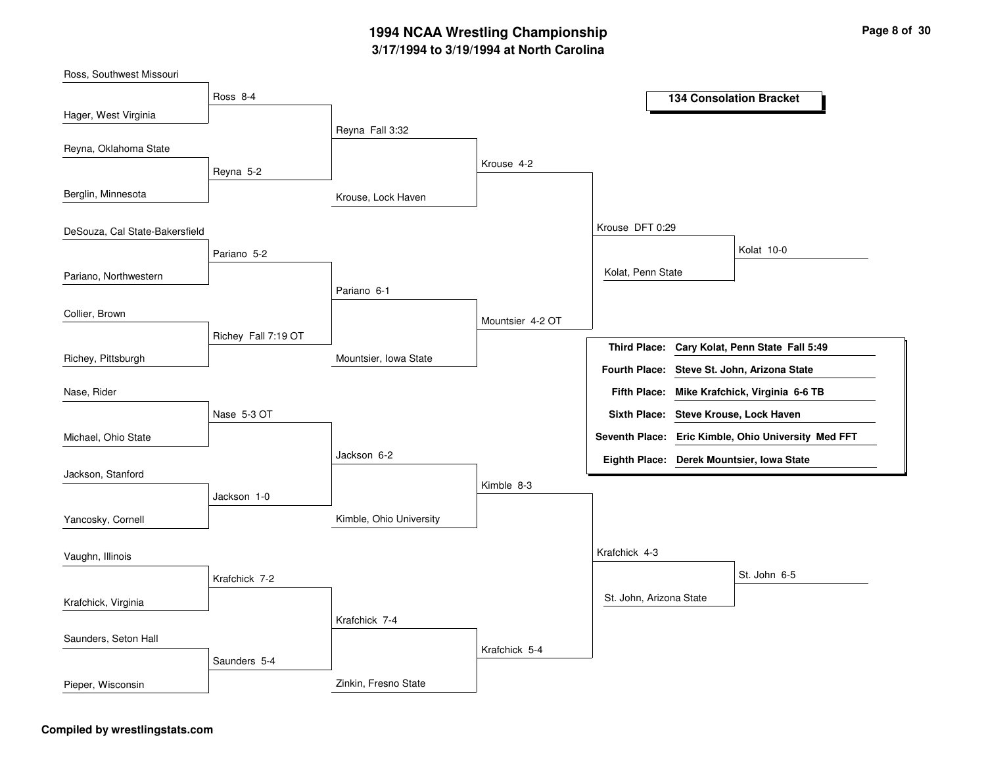| Ross, Southwest Missouri       |                     |                         |                  |                         |                                                     |
|--------------------------------|---------------------|-------------------------|------------------|-------------------------|-----------------------------------------------------|
|                                | Ross 8-4            |                         |                  |                         | <b>134 Consolation Bracket</b>                      |
| Hager, West Virginia           |                     | Reyna Fall 3:32         |                  |                         |                                                     |
| Reyna, Oklahoma State          |                     |                         |                  |                         |                                                     |
|                                | Reyna 5-2           |                         | Krouse 4-2       |                         |                                                     |
| Berglin, Minnesota             |                     | Krouse, Lock Haven      |                  |                         |                                                     |
| DeSouza, Cal State-Bakersfield |                     |                         |                  | Krouse DFT 0:29         |                                                     |
|                                | Pariano 5-2         |                         |                  |                         | Kolat 10-0                                          |
| Pariano, Northwestern          |                     |                         |                  | Kolat, Penn State       |                                                     |
|                                |                     | Pariano 6-1             |                  |                         |                                                     |
| Collier, Brown                 |                     |                         | Mountsier 4-2 OT |                         |                                                     |
|                                | Richey Fall 7:19 OT |                         |                  |                         | Third Place: Cary Kolat, Penn State Fall 5:49       |
| Richey, Pittsburgh             |                     | Mountsier, Iowa State   |                  |                         | Fourth Place: Steve St. John, Arizona State         |
| Nase, Rider                    |                     |                         |                  |                         | Fifth Place: Mike Krafchick, Virginia 6-6 TB        |
|                                | Nase 5-3 OT         |                         |                  |                         | Sixth Place: Steve Krouse, Lock Haven               |
| Michael, Ohio State            |                     |                         |                  |                         | Seventh Place: Eric Kimble, Ohio University Med FFT |
|                                |                     | Jackson 6-2             |                  |                         | Eighth Place: Derek Mountsier, Iowa State           |
| Jackson, Stanford              |                     |                         | Kimble 8-3       |                         |                                                     |
|                                | Jackson 1-0         |                         |                  |                         |                                                     |
| Yancosky, Cornell              |                     | Kimble, Ohio University |                  |                         |                                                     |
| Vaughn, Illinois               |                     |                         |                  | Krafchick 4-3           |                                                     |
|                                | Krafchick 7-2       |                         |                  |                         | St. John 6-5                                        |
| Krafchick, Virginia            |                     |                         |                  | St. John, Arizona State |                                                     |
|                                |                     | Krafchick 7-4           |                  |                         |                                                     |
| Saunders, Seton Hall           |                     |                         | Krafchick 5-4    |                         |                                                     |
|                                | Saunders 5-4        |                         |                  |                         |                                                     |
| Pieper, Wisconsin              |                     | Zinkin, Fresno State    |                  |                         |                                                     |

### **Compiled by wrestlingstats.com**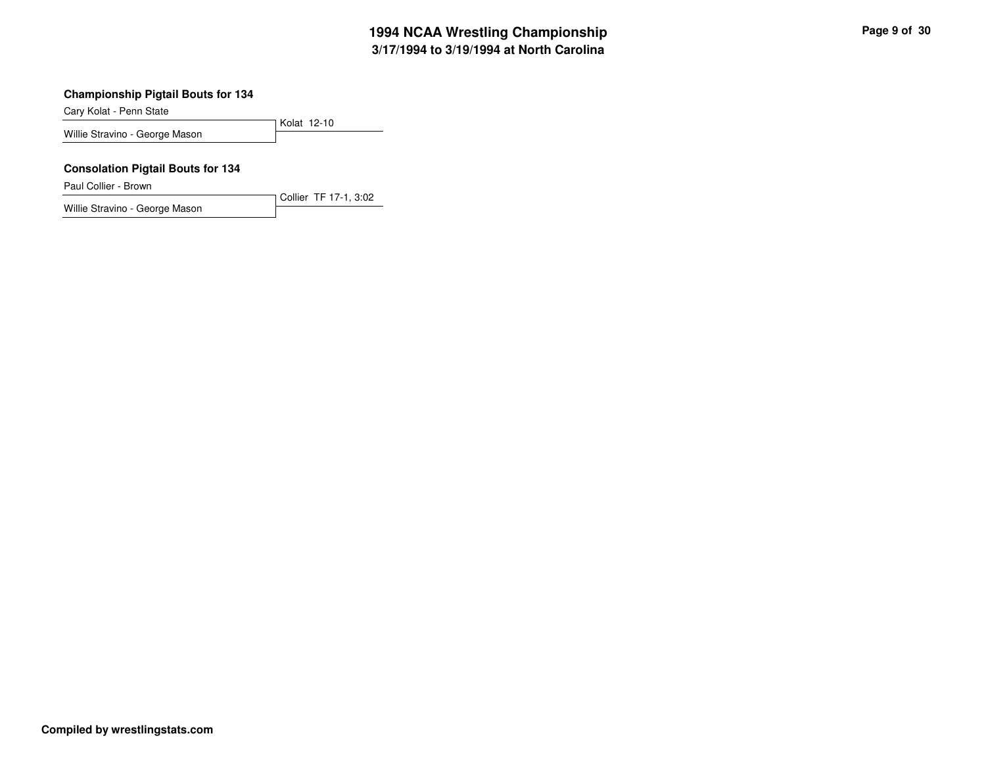### **Championship Pigtail Bouts for 134**

Cary Kolat - Penn State

Kolat 12-10Willie Stravino - George Mason

#### **Consolation Pigtail Bouts for 134**

Paul Collier - Brown

Collier TF 17-1, 3:02Willie Stravino - George Mason

**Compiled by wrestlingstats.com**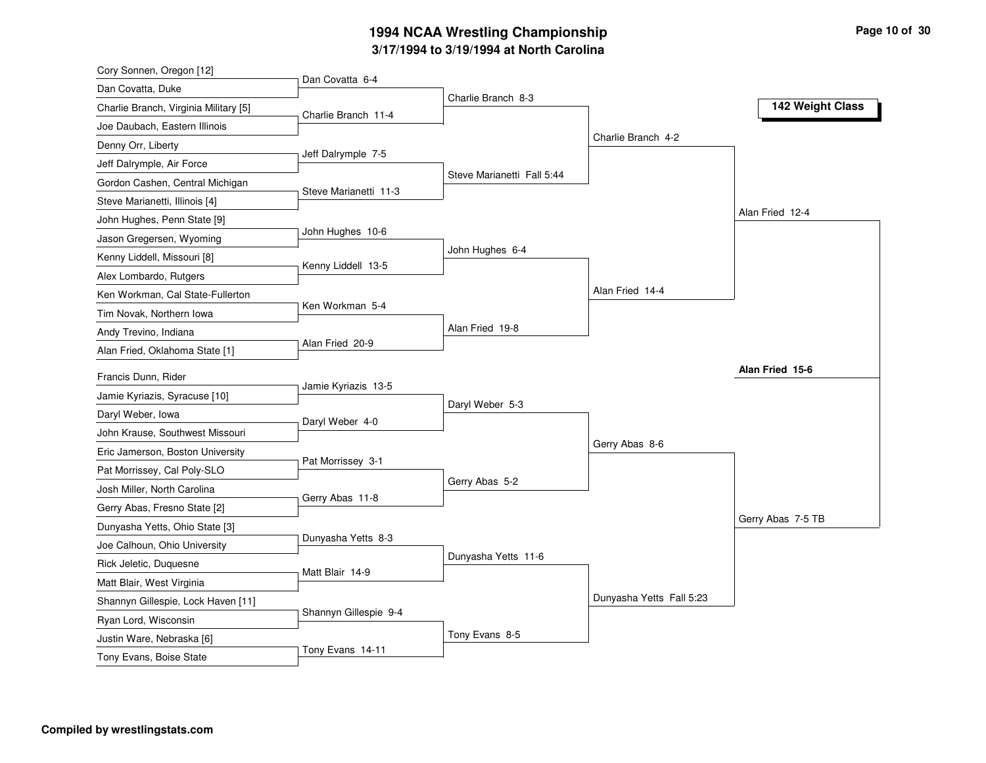| Cory Sonnen, Oregon [12]              |                       |                            |                          |                   |
|---------------------------------------|-----------------------|----------------------------|--------------------------|-------------------|
| Dan Covatta, Duke                     | Dan Covatta 6-4       |                            |                          |                   |
| Charlie Branch, Virginia Military [5] | Charlie Branch 11-4   | Charlie Branch 8-3         |                          | 142 Weight Class  |
| Joe Daubach, Eastern Illinois         |                       |                            |                          |                   |
| Denny Orr, Liberty                    |                       |                            | Charlie Branch 4-2       |                   |
| Jeff Dalrymple, Air Force             | Jeff Dalrymple 7-5    |                            |                          |                   |
| Gordon Cashen, Central Michigan       |                       | Steve Marianetti Fall 5:44 |                          |                   |
| Steve Marianetti, Illinois [4]        | Steve Marianetti 11-3 |                            |                          |                   |
| John Hughes, Penn State [9]           |                       |                            |                          | Alan Fried 12-4   |
| Jason Gregersen, Wyoming              | John Hughes 10-6      |                            |                          |                   |
| Kenny Liddell, Missouri [8]           |                       | John Hughes 6-4            |                          |                   |
| Alex Lombardo, Rutgers                | Kenny Liddell 13-5    |                            |                          |                   |
| Ken Workman, Cal State-Fullerton      |                       |                            | Alan Fried 14-4          |                   |
| Tim Novak, Northern Iowa              | Ken Workman 5-4       |                            |                          |                   |
| Andy Trevino, Indiana                 |                       | Alan Fried 19-8            |                          |                   |
| Alan Fried, Oklahoma State [1]        | Alan Fried 20-9       |                            |                          |                   |
|                                       |                       |                            |                          | Alan Fried 15-6   |
| Francis Dunn, Rider                   | Jamie Kyriazis 13-5   |                            |                          |                   |
| Jamie Kyriazis, Syracuse [10]         |                       | Daryl Weber 5-3            |                          |                   |
| Daryl Weber, Iowa                     | Daryl Weber 4-0       |                            |                          |                   |
| John Krause, Southwest Missouri       |                       |                            | Gerry Abas 8-6           |                   |
| Eric Jamerson, Boston University      | Pat Morrissey 3-1     |                            |                          |                   |
| Pat Morrissey, Cal Poly-SLO           |                       | Gerry Abas 5-2             |                          |                   |
| Josh Miller, North Carolina           | Gerry Abas 11-8       |                            |                          |                   |
| Gerry Abas, Fresno State [2]          |                       |                            |                          | Gerry Abas 7-5 TB |
| Dunyasha Yetts, Ohio State [3]        | Dunyasha Yetts 8-3    |                            |                          |                   |
| Joe Calhoun, Ohio University          |                       | Dunyasha Yetts 11-6        |                          |                   |
| Rick Jeletic, Duquesne                | Matt Blair 14-9       |                            |                          |                   |
| Matt Blair, West Virginia             |                       |                            |                          |                   |
| Shannyn Gillespie, Lock Haven [11]    | Shannyn Gillespie 9-4 |                            | Dunyasha Yetts Fall 5:23 |                   |
| Ryan Lord, Wisconsin                  |                       |                            |                          |                   |
| Justin Ware, Nebraska [6]             | Tony Evans 14-11      | Tony Evans 8-5             |                          |                   |
| Tony Evans, Boise State               |                       |                            |                          |                   |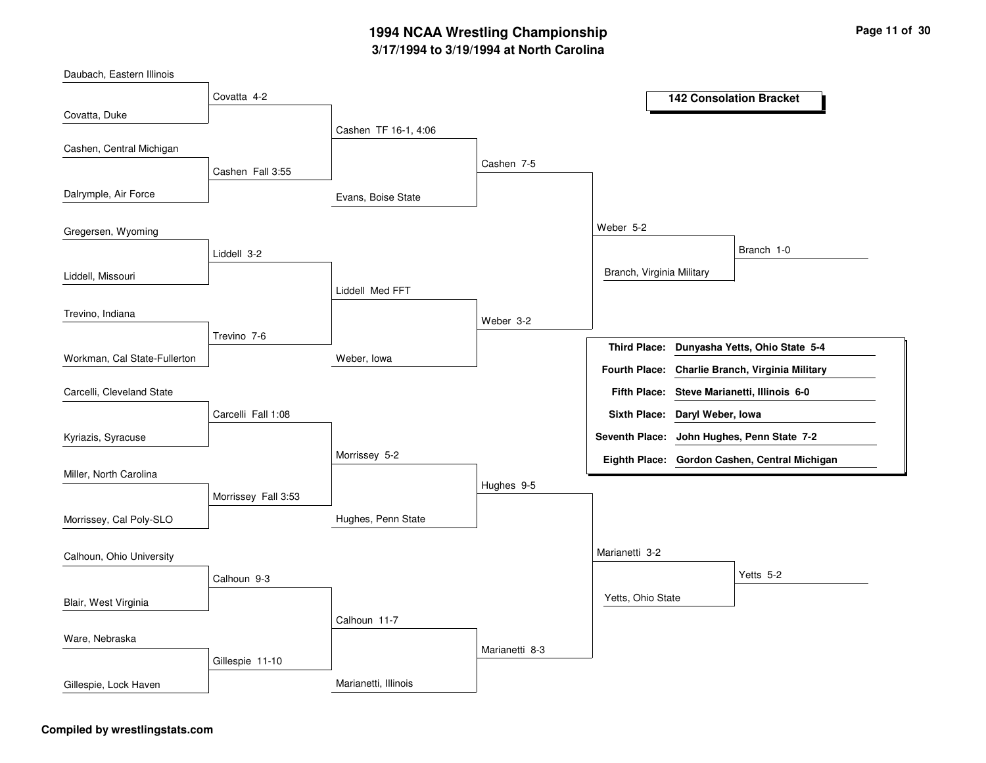| Daubach, Eastern Illinois    |                     |                      |                |                                |                                                 |
|------------------------------|---------------------|----------------------|----------------|--------------------------------|-------------------------------------------------|
|                              | Covatta 4-2         |                      |                |                                | <b>142 Consolation Bracket</b>                  |
| Covatta, Duke                |                     |                      |                |                                |                                                 |
|                              |                     | Cashen TF 16-1, 4:06 |                |                                |                                                 |
| Cashen, Central Michigan     |                     |                      | Cashen 7-5     |                                |                                                 |
|                              | Cashen Fall 3:55    |                      |                |                                |                                                 |
| Dalrymple, Air Force         |                     | Evans, Boise State   |                |                                |                                                 |
|                              |                     |                      |                | Weber 5-2                      |                                                 |
| Gregersen, Wyoming           |                     |                      |                |                                |                                                 |
|                              | Liddell 3-2         |                      |                |                                | Branch 1-0                                      |
| Liddell, Missouri            |                     |                      |                | Branch, Virginia Military      |                                                 |
|                              |                     | Liddell Med FFT      |                |                                |                                                 |
| Trevino, Indiana             |                     |                      | Weber 3-2      |                                |                                                 |
|                              | Trevino 7-6         |                      |                |                                | Third Place: Dunyasha Yetts, Ohio State 5-4     |
| Workman, Cal State-Fullerton |                     | Weber, Iowa          |                |                                | Fourth Place: Charlie Branch, Virginia Military |
| Carcelli, Cleveland State    |                     |                      |                |                                | Fifth Place: Steve Marianetti, Illinois 6-0     |
|                              | Carcelli Fall 1:08  |                      |                | Sixth Place: Daryl Weber, Iowa |                                                 |
| Kyriazis, Syracuse           |                     |                      |                |                                | Seventh Place: John Hughes, Penn State 7-2      |
|                              |                     | Morrissey 5-2        |                |                                | Eighth Place: Gordon Cashen, Central Michigan   |
| Miller, North Carolina       |                     |                      | Hughes 9-5     |                                |                                                 |
|                              | Morrissey Fall 3:53 |                      |                |                                |                                                 |
| Morrissey, Cal Poly-SLO      |                     | Hughes, Penn State   |                |                                |                                                 |
|                              |                     |                      |                | Marianetti 3-2                 |                                                 |
| Calhoun, Ohio University     |                     |                      |                |                                |                                                 |
|                              | Calhoun 9-3         |                      |                |                                | Yetts 5-2                                       |
| Blair, West Virginia         |                     |                      |                | Yetts, Ohio State              |                                                 |
|                              |                     | Calhoun 11-7         |                |                                |                                                 |
| Ware, Nebraska               |                     |                      | Marianetti 8-3 |                                |                                                 |
|                              | Gillespie 11-10     |                      |                |                                |                                                 |
| Gillespie, Lock Haven        |                     | Marianetti, Illinois |                |                                |                                                 |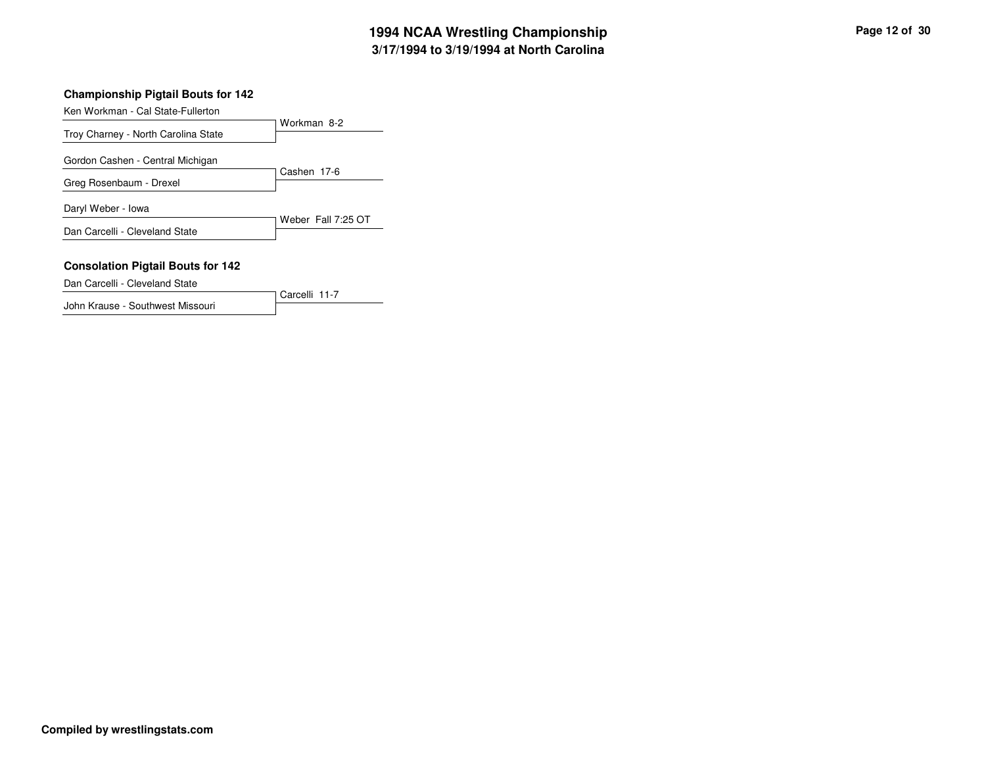### **Championship Pigtail Bouts for 142**

Ken Workman - Cal State-Fullerton

| $\overline{\text{R}}$ i Wurlan - Cal State-Fullentun |                    |
|------------------------------------------------------|--------------------|
| Troy Charney - North Carolina State                  | Workman 8-2        |
| Gordon Cashen - Central Michigan                     |                    |
| Greg Rosenbaum - Drexel                              | Cashen 17-6        |
| Daryl Weber - Iowa                                   |                    |
| Dan Carcelli - Cleveland State                       | Weber Fall 7:25 OT |
| <b>Consolation Pigtail Bouts for 142</b>             |                    |

Carcelli 11-7

Dan Carcelli - Cleveland State

John Krause - Southwest Missouri

**Compiled by wrestlingstats.com**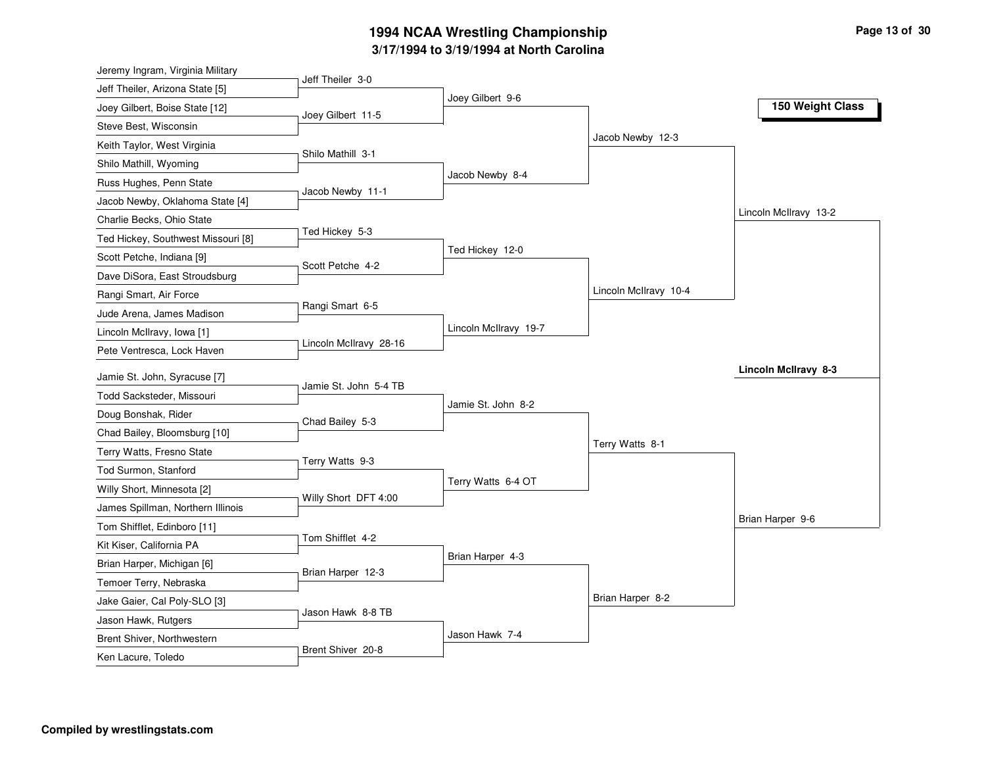| Jeremy Ingram, Virginia Military   |                        |                       |                       |                             |
|------------------------------------|------------------------|-----------------------|-----------------------|-----------------------------|
| Jeff Theiler, Arizona State [5]    | Jeff Theiler 3-0       |                       |                       |                             |
| Joey Gilbert, Boise State [12]     |                        | Joey Gilbert 9-6      |                       | 150 Weight Class            |
| Steve Best, Wisconsin              | Joey Gilbert 11-5      |                       |                       |                             |
| Keith Taylor, West Virginia        |                        |                       | Jacob Newby 12-3      |                             |
| Shilo Mathill, Wyoming             | Shilo Mathill 3-1      |                       |                       |                             |
| Russ Hughes, Penn State            |                        | Jacob Newby 8-4       |                       |                             |
| Jacob Newby, Oklahoma State [4]    | Jacob Newby 11-1       |                       |                       |                             |
| Charlie Becks, Ohio State          |                        |                       |                       | Lincoln McIlravy 13-2       |
| Ted Hickey, Southwest Missouri [8] | Ted Hickey 5-3         |                       |                       |                             |
| Scott Petche, Indiana [9]          |                        | Ted Hickey 12-0       |                       |                             |
| Dave DiSora, East Stroudsburg      | Scott Petche 4-2       |                       |                       |                             |
| Rangi Smart, Air Force             |                        |                       | Lincoln McIlravy 10-4 |                             |
| Jude Arena, James Madison          | Rangi Smart 6-5        |                       |                       |                             |
| Lincoln McIlravy, Iowa [1]         |                        | Lincoln McIlravy 19-7 |                       |                             |
| Pete Ventresca, Lock Haven         | Lincoln McIlravy 28-16 |                       |                       |                             |
|                                    |                        |                       |                       | <b>Lincoln McIlravy 8-3</b> |
| Jamie St. John, Syracuse [7]       | Jamie St. John 5-4 TB  |                       |                       |                             |
| Todd Sacksteder, Missouri          |                        | Jamie St. John 8-2    |                       |                             |
| Doug Bonshak, Rider                | Chad Bailey 5-3        |                       |                       |                             |
| Chad Bailey, Bloomsburg [10]       |                        |                       | Terry Watts 8-1       |                             |
| Terry Watts, Fresno State          | Terry Watts 9-3        |                       |                       |                             |
| Tod Surmon, Stanford               |                        | Terry Watts 6-4 OT    |                       |                             |
| Willy Short, Minnesota [2]         | Willy Short DFT 4:00   |                       |                       |                             |
| James Spillman, Northern Illinois  |                        |                       |                       | Brian Harper 9-6            |
| Tom Shifflet, Edinboro [11]        | Tom Shifflet 4-2       |                       |                       |                             |
| Kit Kiser, California PA           |                        | Brian Harper 4-3      |                       |                             |
| Brian Harper, Michigan [6]         | Brian Harper 12-3      |                       |                       |                             |
| Temoer Terry, Nebraska             |                        |                       |                       |                             |
| Jake Gaier, Cal Poly-SLO [3]       | Jason Hawk 8-8 TB      |                       | Brian Harper 8-2      |                             |
| Jason Hawk, Rutgers                |                        |                       |                       |                             |
| Brent Shiver, Northwestern         |                        | Jason Hawk 7-4        |                       |                             |
| Ken Lacure, Toledo                 | Brent Shiver 20-8      |                       |                       |                             |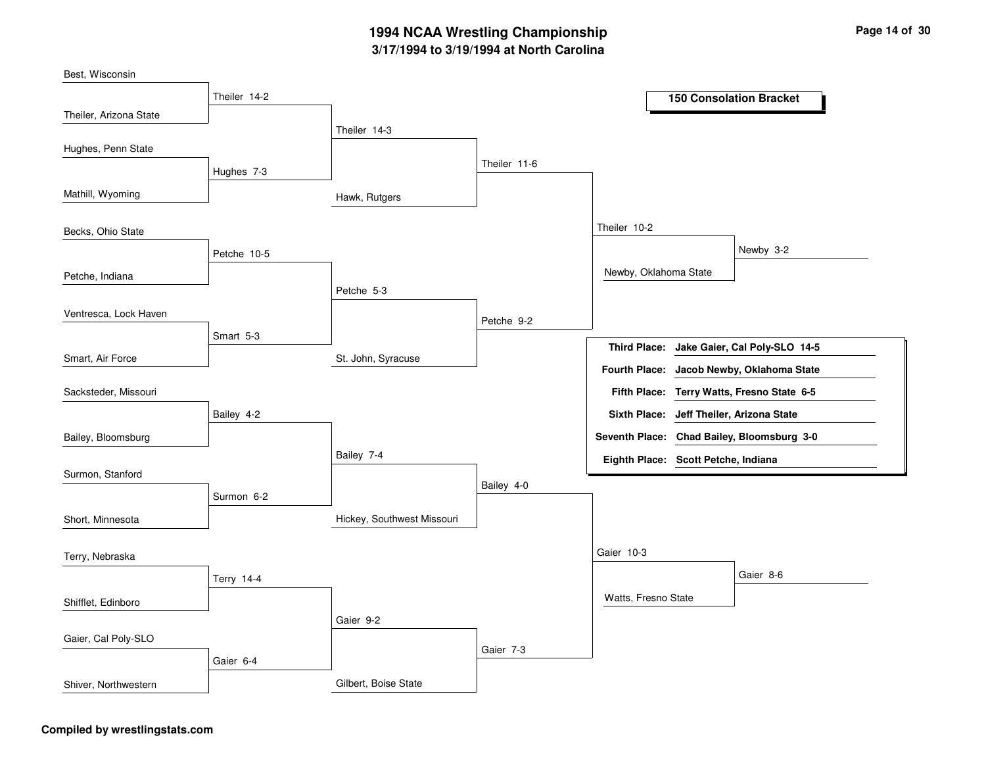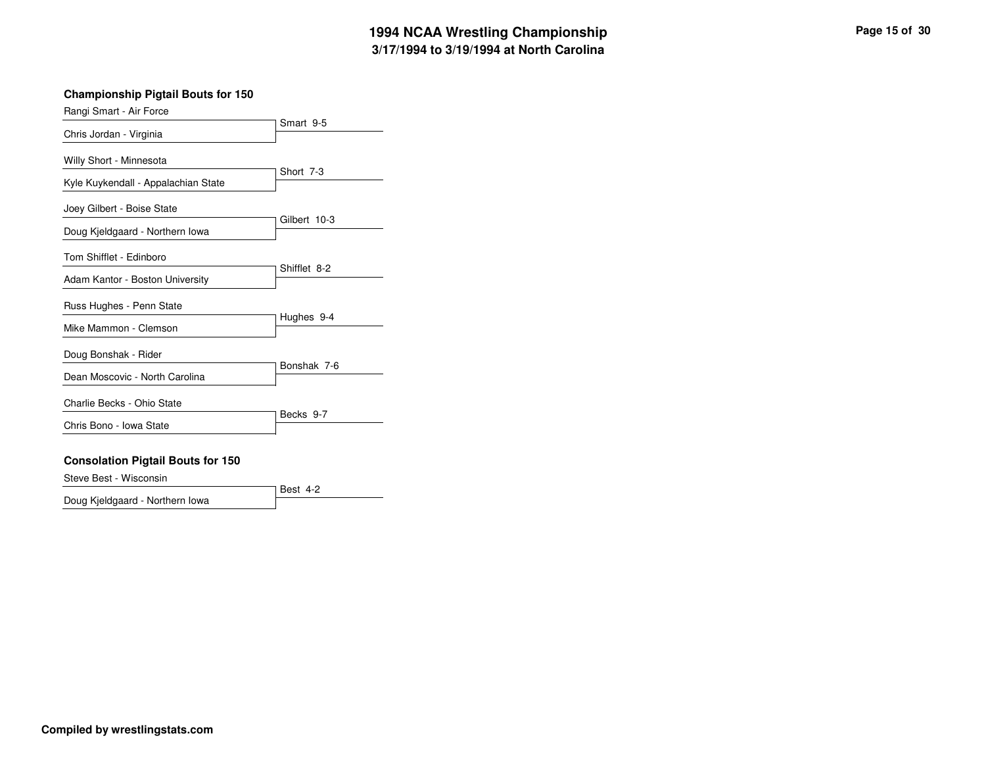### **Championship Pigtail Bouts for 150**

| Rangi Smart - Air Force             |              |  |
|-------------------------------------|--------------|--|
| Chris Jordan - Virginia             | Smart 9-5    |  |
| Willy Short - Minnesota             | Short 7-3    |  |
| Kyle Kuykendall - Appalachian State |              |  |
| Joey Gilbert - Boise State          | Gilbert 10-3 |  |
| Doug Kjeldgaard - Northern Iowa     |              |  |
| Tom Shifflet - Edinboro             | Shifflet 8-2 |  |
| Adam Kantor - Boston University     |              |  |
| Russ Hughes - Penn State            | Hughes 9-4   |  |
| Mike Mammon - Clemson               |              |  |
| Doug Bonshak - Rider                | Bonshak 7-6  |  |
| Dean Moscovic - North Carolina      |              |  |
| Charlie Becks - Ohio State          | Becks 9-7    |  |
| Chris Bono - Iowa State             |              |  |
|                                     |              |  |

### **Consolation Pigtail Bouts for 150**

Steve Best - Wisconsin

Doug Kjeldgaard - Northern Iowa

Best 4-2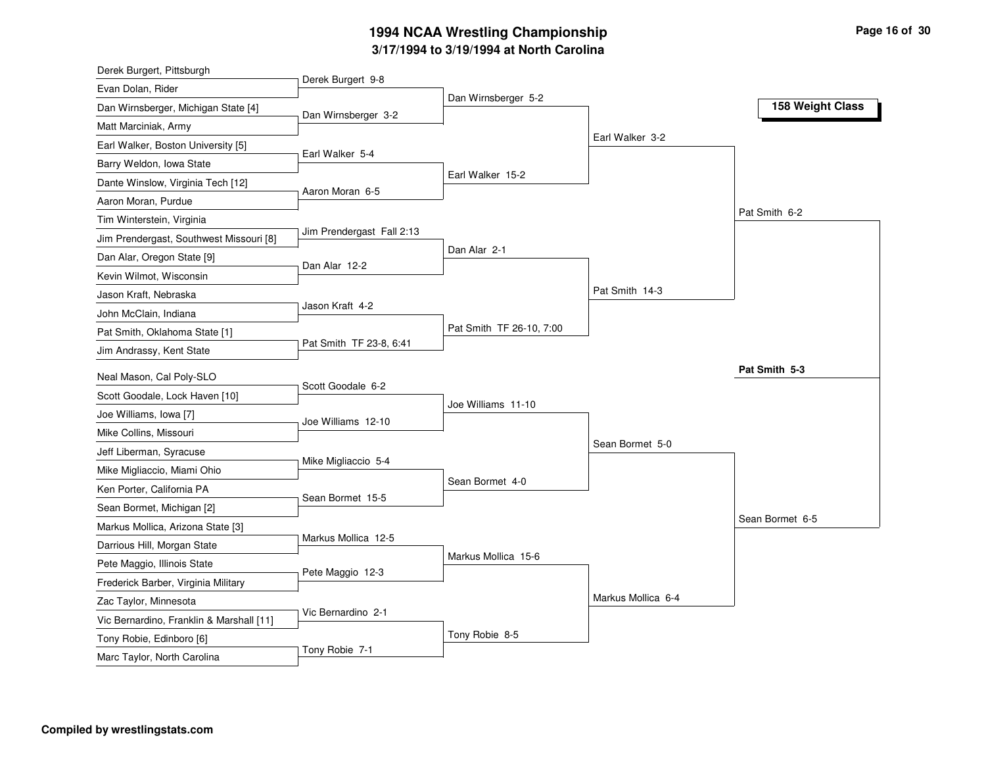| Derek Burgert, Pittsburgh                |                           |                          |                    |                  |
|------------------------------------------|---------------------------|--------------------------|--------------------|------------------|
| Evan Dolan, Rider                        | Derek Burgert 9-8         |                          |                    |                  |
| Dan Wirnsberger, Michigan State [4]      | Dan Wirnsberger 3-2       | Dan Wirnsberger 5-2      |                    | 158 Weight Class |
| Matt Marciniak, Army                     |                           |                          |                    |                  |
| Earl Walker, Boston University [5]       |                           |                          | Earl Walker 3-2    |                  |
| Barry Weldon, Iowa State                 | Earl Walker 5-4           |                          |                    |                  |
| Dante Winslow, Virginia Tech [12]        |                           | Earl Walker 15-2         |                    |                  |
| Aaron Moran, Purdue                      | Aaron Moran 6-5           |                          |                    |                  |
| Tim Winterstein, Virginia                |                           |                          |                    | Pat Smith 6-2    |
| Jim Prendergast, Southwest Missouri [8]  | Jim Prendergast Fall 2:13 |                          |                    |                  |
| Dan Alar, Oregon State [9]               | Dan Alar 12-2             | Dan Alar 2-1             |                    |                  |
| Kevin Wilmot, Wisconsin                  |                           |                          |                    |                  |
| Jason Kraft, Nebraska                    |                           |                          | Pat Smith 14-3     |                  |
| John McClain, Indiana                    | Jason Kraft 4-2           |                          |                    |                  |
| Pat Smith, Oklahoma State [1]            |                           | Pat Smith TF 26-10, 7:00 |                    |                  |
| Jim Andrassy, Kent State                 | Pat Smith TF 23-8, 6:41   |                          |                    |                  |
| Neal Mason, Cal Poly-SLO                 |                           |                          |                    | Pat Smith 5-3    |
| Scott Goodale, Lock Haven [10]           | Scott Goodale 6-2         |                          |                    |                  |
| Joe Williams, Iowa [7]                   |                           | Joe Williams 11-10       |                    |                  |
| Mike Collins, Missouri                   | Joe Williams 12-10        |                          |                    |                  |
| Jeff Liberman, Syracuse                  |                           |                          | Sean Bormet 5-0    |                  |
| Mike Migliaccio, Miami Ohio              | Mike Migliaccio 5-4       |                          |                    |                  |
| Ken Porter, California PA                |                           | Sean Bormet 4-0          |                    |                  |
| Sean Bormet, Michigan [2]                | Sean Bormet 15-5          |                          |                    |                  |
| Markus Mollica, Arizona State [3]        |                           |                          |                    | Sean Bormet 6-5  |
| Darrious Hill, Morgan State              | Markus Mollica 12-5       |                          |                    |                  |
| Pete Maggio, Illinois State              |                           | Markus Mollica 15-6      |                    |                  |
| Frederick Barber, Virginia Military      | Pete Maggio 12-3          |                          |                    |                  |
| Zac Taylor, Minnesota                    |                           |                          | Markus Mollica 6-4 |                  |
| Vic Bernardino, Franklin & Marshall [11] | Vic Bernardino 2-1        |                          |                    |                  |
| Tony Robie, Edinboro [6]                 |                           | Tony Robie 8-5           |                    |                  |
| Marc Taylor, North Carolina              | Tony Robie 7-1            |                          |                    |                  |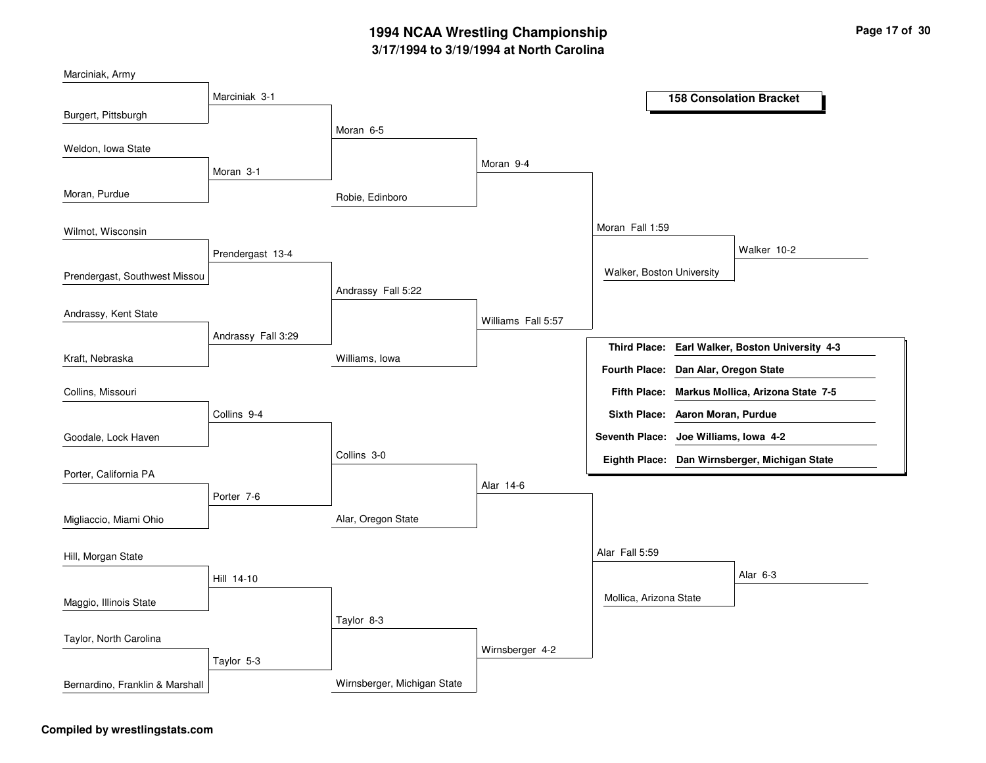| Marciniak, Army                 |                    |                             |                    |                                       |                                                 |
|---------------------------------|--------------------|-----------------------------|--------------------|---------------------------------------|-------------------------------------------------|
|                                 | Marciniak 3-1      |                             |                    |                                       | <b>158 Consolation Bracket</b>                  |
| Burgert, Pittsburgh             |                    |                             |                    |                                       |                                                 |
|                                 |                    | Moran 6-5                   |                    |                                       |                                                 |
| Weldon, Iowa State              |                    |                             | Moran 9-4          |                                       |                                                 |
|                                 | Moran 3-1          |                             |                    |                                       |                                                 |
| Moran, Purdue                   |                    | Robie, Edinboro             |                    |                                       |                                                 |
| Wilmot, Wisconsin               |                    |                             |                    | Moran Fall 1:59                       |                                                 |
|                                 | Prendergast 13-4   |                             |                    |                                       | Walker 10-2                                     |
| Prendergast, Southwest Missou   |                    |                             |                    | Walker, Boston University             |                                                 |
|                                 |                    | Andrassy Fall 5:22          |                    |                                       |                                                 |
| Andrassy, Kent State            |                    |                             | Williams Fall 5:57 |                                       |                                                 |
|                                 | Andrassy Fall 3:29 |                             |                    |                                       | Third Place: Earl Walker, Boston University 4-3 |
| Kraft, Nebraska                 |                    | Williams, Iowa              |                    | Fourth Place: Dan Alar, Oregon State  |                                                 |
| Collins, Missouri               |                    |                             |                    |                                       | Fifth Place: Markus Mollica, Arizona State 7-5  |
|                                 | Collins 9-4        |                             |                    | Sixth Place: Aaron Moran, Purdue      |                                                 |
| Goodale, Lock Haven             |                    |                             |                    | Seventh Place: Joe Williams, Iowa 4-2 |                                                 |
|                                 |                    | Collins 3-0                 |                    |                                       | Eighth Place: Dan Wirnsberger, Michigan State   |
| Porter, California PA           |                    |                             | Alar 14-6          |                                       |                                                 |
|                                 | Porter 7-6         |                             |                    |                                       |                                                 |
| Migliaccio, Miami Ohio          |                    | Alar, Oregon State          |                    |                                       |                                                 |
| Hill, Morgan State              |                    |                             |                    | Alar Fall 5:59                        |                                                 |
|                                 | Hill 14-10         |                             |                    |                                       | Alar 6-3                                        |
| Maggio, Illinois State          |                    |                             |                    | Mollica, Arizona State                |                                                 |
|                                 |                    | Taylor 8-3                  |                    |                                       |                                                 |
| Taylor, North Carolina          |                    |                             |                    |                                       |                                                 |
|                                 | Taylor 5-3         |                             | Wirnsberger 4-2    |                                       |                                                 |
| Bernardino, Franklin & Marshall |                    | Wirnsberger, Michigan State |                    |                                       |                                                 |

### **Compiled by wrestlingstats.com**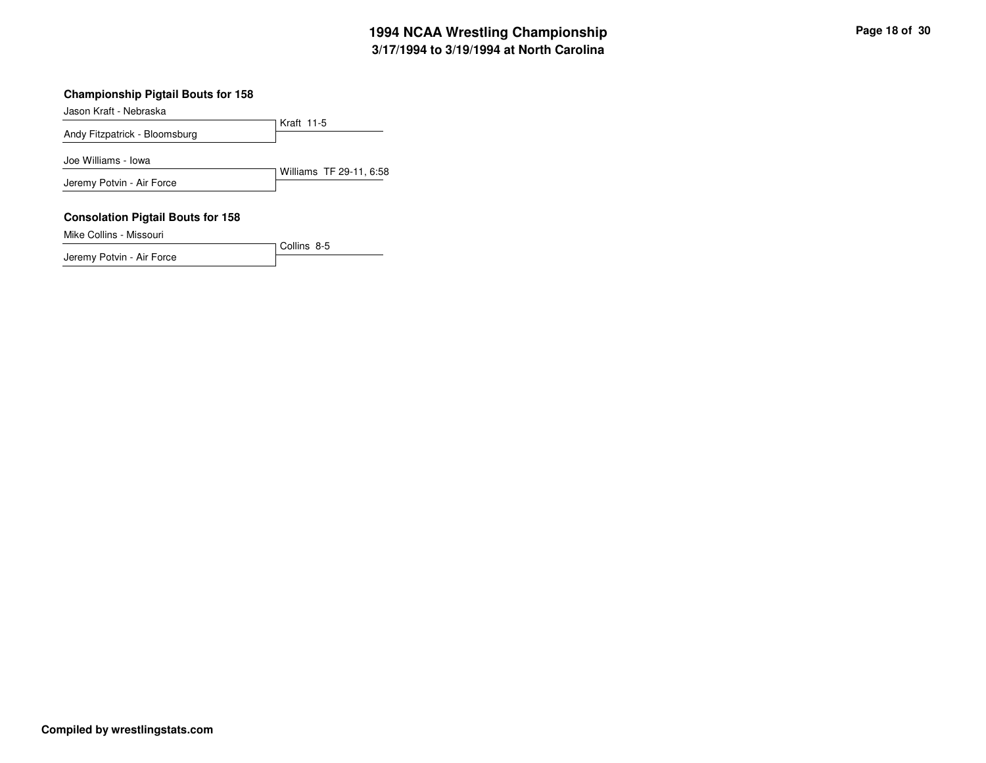### **Championship Pigtail Bouts for 158**

Jason Kraft - Nebraska

Kraft 11-5Andy Fitzpatrick - BloomsburgWilliams TF 29-11, 6:58Joe Williams - IowaJeremy Potvin - Air Force

Collins 8-5

#### **Consolation Pigtail Bouts for 158**

Mike Collins - Missouri

Jeremy Potvin - Air Force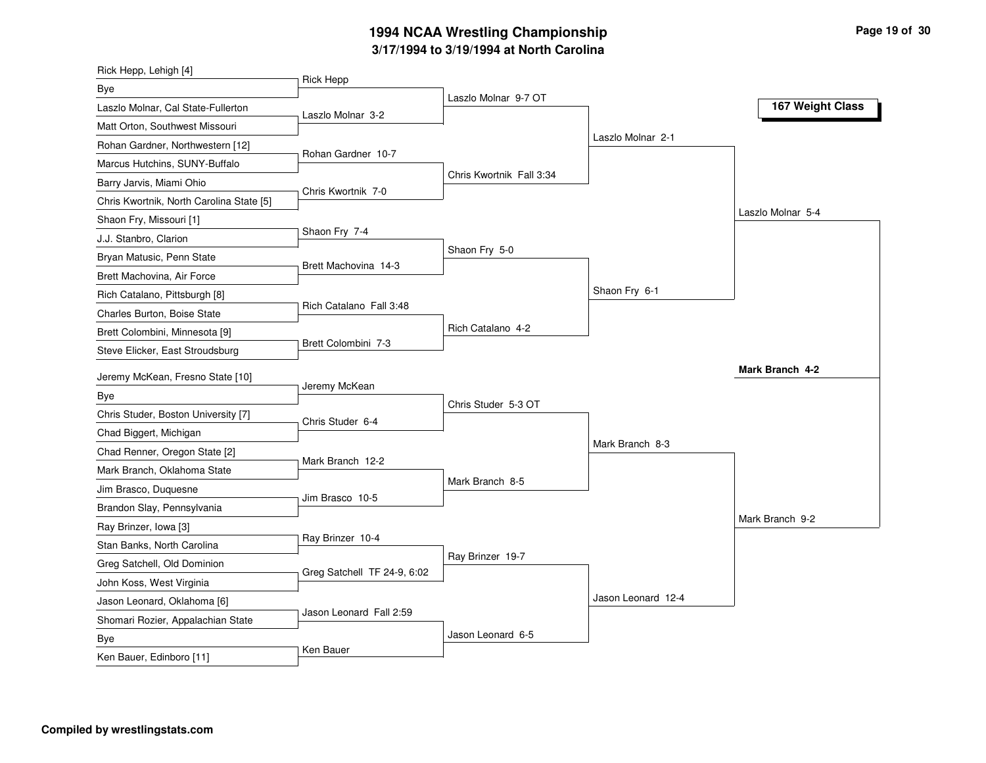| Rick Hepp, Lehigh [4]                    |                             |                          |                    |                   |
|------------------------------------------|-----------------------------|--------------------------|--------------------|-------------------|
| Bye                                      | <b>Rick Hepp</b>            |                          |                    |                   |
| Laszlo Molnar, Cal State-Fullerton       | Laszlo Molnar 3-2           | Laszlo Molnar 9-7 OT     |                    | 167 Weight Class  |
| Matt Orton, Southwest Missouri           |                             |                          |                    |                   |
| Rohan Gardner, Northwestern [12]         |                             |                          | Laszlo Molnar 2-1  |                   |
| Marcus Hutchins, SUNY-Buffalo            | Rohan Gardner 10-7          |                          |                    |                   |
| Barry Jarvis, Miami Ohio                 |                             | Chris Kwortnik Fall 3:34 |                    |                   |
| Chris Kwortnik, North Carolina State [5] | Chris Kwortnik 7-0          |                          |                    |                   |
| Shaon Fry, Missouri [1]                  |                             |                          |                    | Laszlo Molnar 5-4 |
| J.J. Stanbro, Clarion                    | Shaon Fry 7-4               |                          |                    |                   |
| Bryan Matusic, Penn State                |                             | Shaon Fry 5-0            |                    |                   |
| Brett Machovina, Air Force               | Brett Machovina 14-3        |                          |                    |                   |
| Rich Catalano, Pittsburgh [8]            |                             |                          | Shaon Fry 6-1      |                   |
| Charles Burton, Boise State              | Rich Catalano Fall 3:48     |                          |                    |                   |
| Brett Colombini, Minnesota [9]           |                             | Rich Catalano 4-2        |                    |                   |
| Steve Elicker, East Stroudsburg          | Brett Colombini 7-3         |                          |                    |                   |
| Jeremy McKean, Fresno State [10]         |                             |                          |                    | Mark Branch 4-2   |
| Bye                                      | Jeremy McKean               |                          |                    |                   |
| Chris Studer, Boston University [7]      |                             | Chris Studer 5-3 OT      |                    |                   |
| Chad Biggert, Michigan                   | Chris Studer 6-4            |                          |                    |                   |
| Chad Renner, Oregon State [2]            |                             |                          | Mark Branch 8-3    |                   |
| Mark Branch, Oklahoma State              | Mark Branch 12-2            |                          |                    |                   |
| Jim Brasco, Duquesne                     |                             | Mark Branch 8-5          |                    |                   |
| Brandon Slay, Pennsylvania               | Jim Brasco 10-5             |                          |                    |                   |
| Ray Brinzer, Iowa [3]                    |                             |                          |                    | Mark Branch 9-2   |
| Stan Banks, North Carolina               | Ray Brinzer 10-4            |                          |                    |                   |
| Greg Satchell, Old Dominion              |                             | Ray Brinzer 19-7         |                    |                   |
| John Koss, West Virginia                 | Greg Satchell TF 24-9, 6:02 |                          |                    |                   |
| Jason Leonard, Oklahoma [6]              |                             |                          | Jason Leonard 12-4 |                   |
| Shomari Rozier, Appalachian State        | Jason Leonard Fall 2:59     |                          |                    |                   |
| Bye                                      |                             | Jason Leonard 6-5        |                    |                   |
| Ken Bauer, Edinboro [11]                 | Ken Bauer                   |                          |                    |                   |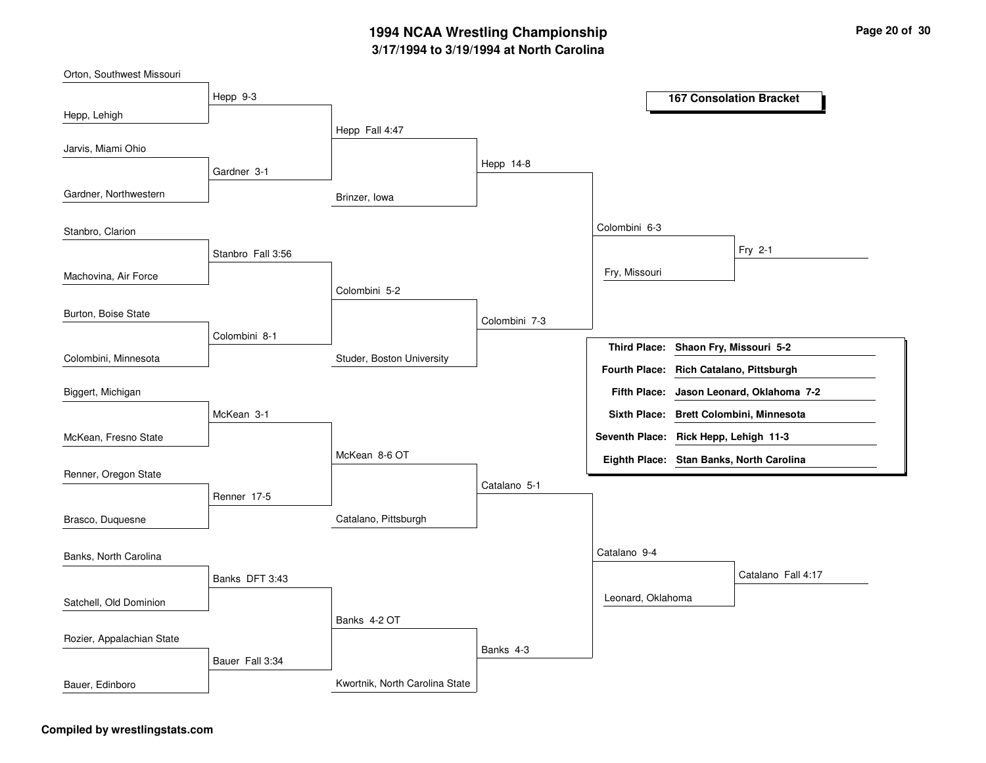| Orton, Southwest Missouri |                   |                                |               |                                         |                                          |
|---------------------------|-------------------|--------------------------------|---------------|-----------------------------------------|------------------------------------------|
|                           | Hepp 9-3          |                                |               |                                         | <b>167 Consolation Bracket</b>           |
| Hepp, Lehigh              |                   |                                |               |                                         |                                          |
|                           |                   | Hepp Fall 4:47                 |               |                                         |                                          |
| Jarvis, Miami Ohio        |                   |                                |               |                                         |                                          |
|                           | Gardner 3-1       |                                | Hepp 14-8     |                                         |                                          |
| Gardner, Northwestern     |                   | Brinzer, Iowa                  |               |                                         |                                          |
| Stanbro, Clarion          |                   |                                |               | Colombini 6-3                           |                                          |
|                           | Stanbro Fall 3:56 |                                |               |                                         | Fry 2-1                                  |
| Machovina, Air Force      |                   |                                |               | Fry, Missouri                           |                                          |
|                           |                   | Colombini 5-2                  |               |                                         |                                          |
| Burton, Boise State       |                   |                                | Colombini 7-3 |                                         |                                          |
|                           | Colombini 8-1     |                                |               | Third Place: Shaon Fry, Missouri 5-2    |                                          |
| Colombini, Minnesota      |                   | Studer, Boston University      |               |                                         |                                          |
|                           |                   |                                |               | Fourth Place: Rich Catalano, Pittsburgh |                                          |
| Biggert, Michigan         |                   |                                |               | <b>Fifth Place:</b>                     | Jason Leonard, Oklahoma 7-2              |
|                           | McKean 3-1        |                                |               |                                         | Sixth Place: Brett Colombini, Minnesota  |
| McKean, Fresno State      |                   |                                |               | Seventh Place: Rick Hepp, Lehigh 11-3   |                                          |
|                           |                   | McKean 8-6 OT                  |               |                                         | Eighth Place: Stan Banks, North Carolina |
| Renner, Oregon State      |                   |                                |               |                                         |                                          |
|                           | Renner 17-5       |                                | Catalano 5-1  |                                         |                                          |
| Brasco, Duquesne          |                   | Catalano, Pittsburgh           |               |                                         |                                          |
|                           |                   |                                |               |                                         |                                          |
| Banks, North Carolina     |                   |                                |               | Catalano 9-4                            |                                          |
|                           | Banks DFT 3:43    |                                |               |                                         | Catalano Fall 4:17                       |
| Satchell, Old Dominion    |                   |                                |               | Leonard, Oklahoma                       |                                          |
|                           |                   | Banks 4-2 OT                   |               |                                         |                                          |
| Rozier, Appalachian State |                   |                                | Banks 4-3     |                                         |                                          |
|                           | Bauer Fall 3:34   |                                |               |                                         |                                          |
| Bauer, Edinboro           |                   | Kwortnik, North Carolina State |               |                                         |                                          |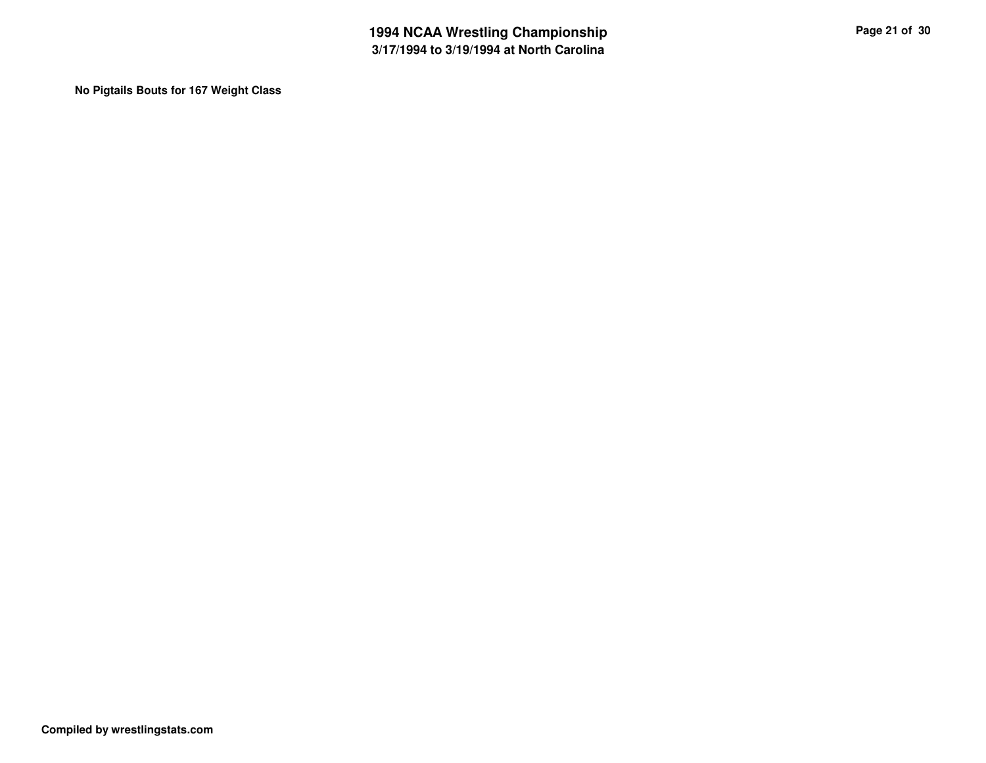**No Pigtails Bouts for 167 Weight Class**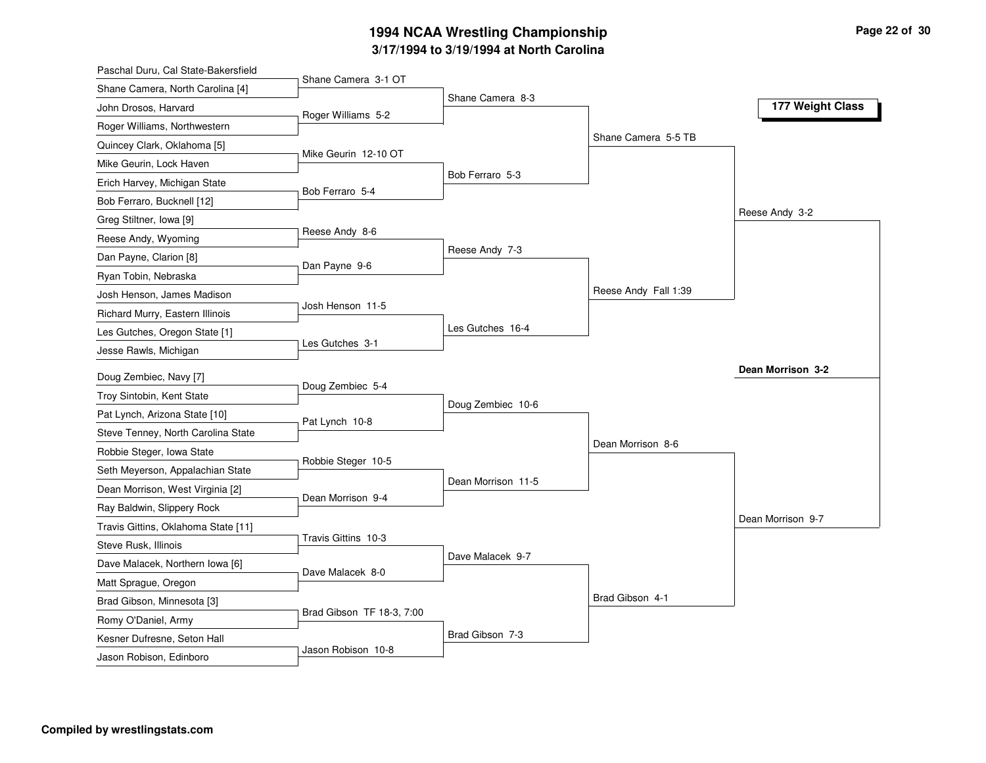| Paschal Duru, Cal State-Bakersfield |                           |                    |                      |                   |
|-------------------------------------|---------------------------|--------------------|----------------------|-------------------|
| Shane Camera, North Carolina [4]    | Shane Camera 3-1 OT       |                    |                      |                   |
| John Drosos, Harvard                | Roger Williams 5-2        | Shane Camera 8-3   |                      | 177 Weight Class  |
| Roger Williams, Northwestern        |                           |                    |                      |                   |
| Quincey Clark, Oklahoma [5]         |                           |                    | Shane Camera 5-5 TB  |                   |
| Mike Geurin, Lock Haven             | Mike Geurin 12-10 OT      |                    |                      |                   |
| Erich Harvey, Michigan State        |                           | Bob Ferraro 5-3    |                      |                   |
| Bob Ferraro, Bucknell [12]          | Bob Ferraro 5-4           |                    |                      |                   |
| Greg Stiltner, Iowa [9]             |                           |                    |                      | Reese Andy 3-2    |
| Reese Andy, Wyoming                 | Reese Andy 8-6            |                    |                      |                   |
| Dan Payne, Clarion [8]              |                           | Reese Andy 7-3     |                      |                   |
| Ryan Tobin, Nebraska                | Dan Payne 9-6             |                    |                      |                   |
| Josh Henson, James Madison          |                           |                    | Reese Andy Fall 1:39 |                   |
| Richard Murry, Eastern Illinois     | Josh Henson 11-5          |                    |                      |                   |
| Les Gutches, Oregon State [1]       |                           | Les Gutches 16-4   |                      |                   |
| Jesse Rawls, Michigan               | Les Gutches 3-1           |                    |                      |                   |
| Doug Zembiec, Navy [7]              |                           |                    |                      | Dean Morrison 3-2 |
| Troy Sintobin, Kent State           | Doug Zembiec 5-4          |                    |                      |                   |
| Pat Lynch, Arizona State [10]       |                           | Doug Zembiec 10-6  |                      |                   |
| Steve Tenney, North Carolina State  | Pat Lynch 10-8            |                    |                      |                   |
| Robbie Steger, Iowa State           |                           |                    | Dean Morrison 8-6    |                   |
| Seth Meyerson, Appalachian State    | Robbie Steger 10-5        |                    |                      |                   |
| Dean Morrison, West Virginia [2]    |                           | Dean Morrison 11-5 |                      |                   |
| Ray Baldwin, Slippery Rock          | Dean Morrison 9-4         |                    |                      |                   |
| Travis Gittins, Oklahoma State [11] |                           |                    |                      | Dean Morrison 9-7 |
| Steve Rusk, Illinois                | Travis Gittins 10-3       |                    |                      |                   |
| Dave Malacek, Northern Iowa [6]     |                           | Dave Malacek 9-7   |                      |                   |
| Matt Sprague, Oregon                | Dave Malacek 8-0          |                    |                      |                   |
| Brad Gibson, Minnesota [3]          |                           |                    | Brad Gibson 4-1      |                   |
| Romy O'Daniel, Army                 | Brad Gibson TF 18-3, 7:00 |                    |                      |                   |
| Kesner Dufresne, Seton Hall         |                           | Brad Gibson 7-3    |                      |                   |
|                                     | Jason Robison 10-8        |                    |                      |                   |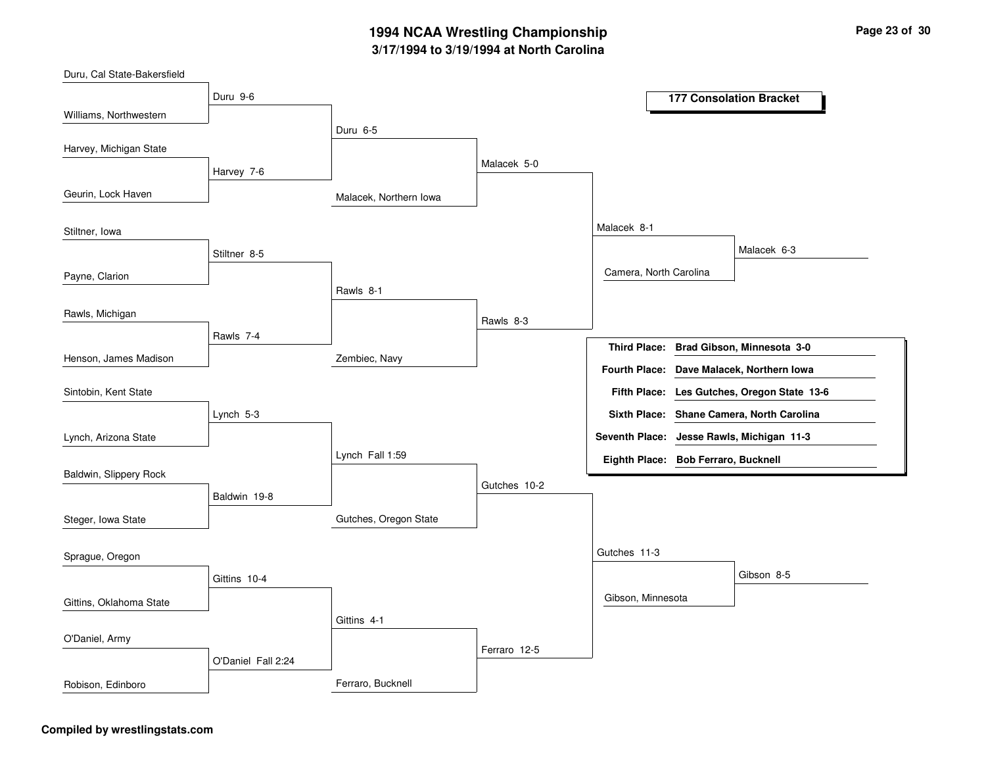| Duru, Cal State-Bakersfield |                    |                        |              |                                     |                                             |
|-----------------------------|--------------------|------------------------|--------------|-------------------------------------|---------------------------------------------|
|                             | Duru 9-6           |                        |              |                                     | <b>177 Consolation Bracket</b>              |
| Williams, Northwestern      |                    | Duru 6-5               |              |                                     |                                             |
| Harvey, Michigan State      |                    |                        |              |                                     |                                             |
|                             | Harvey 7-6         |                        | Malacek 5-0  |                                     |                                             |
| Geurin, Lock Haven          |                    | Malacek, Northern Iowa |              |                                     |                                             |
| Stiltner, Iowa              |                    |                        |              | Malacek 8-1                         |                                             |
|                             | Stiltner 8-5       |                        |              |                                     | Malacek 6-3                                 |
| Payne, Clarion              |                    |                        |              | Camera, North Carolina              |                                             |
|                             |                    | Rawls 8-1              |              |                                     |                                             |
| Rawls, Michigan             |                    |                        | Rawls 8-3    |                                     |                                             |
|                             | Rawls 7-4          |                        |              |                                     | Third Place: Brad Gibson, Minnesota 3-0     |
| Henson, James Madison       |                    | Zembiec, Navy          |              |                                     | Fourth Place: Dave Malacek, Northern Iowa   |
| Sintobin, Kent State        |                    |                        |              |                                     | Fifth Place: Les Gutches, Oregon State 13-6 |
|                             | Lynch 5-3          |                        |              |                                     | Sixth Place: Shane Camera, North Carolina   |
| Lynch, Arizona State        |                    |                        |              |                                     | Seventh Place: Jesse Rawls, Michigan 11-3   |
|                             |                    | Lynch Fall 1:59        |              | Eighth Place: Bob Ferraro, Bucknell |                                             |
| Baldwin, Slippery Rock      |                    |                        | Gutches 10-2 |                                     |                                             |
|                             | Baldwin 19-8       |                        |              |                                     |                                             |
| Steger, Iowa State          |                    | Gutches, Oregon State  |              |                                     |                                             |
| Sprague, Oregon             |                    |                        |              | Gutches 11-3                        |                                             |
|                             | Gittins 10-4       |                        |              |                                     | Gibson 8-5                                  |
| Gittins, Oklahoma State     |                    |                        |              | Gibson, Minnesota                   |                                             |
|                             |                    | Gittins 4-1            |              |                                     |                                             |
| O'Daniel, Army              |                    |                        | Ferraro 12-5 |                                     |                                             |
|                             | O'Daniel Fall 2:24 |                        |              |                                     |                                             |
| Robison, Edinboro           |                    | Ferraro, Bucknell      |              |                                     |                                             |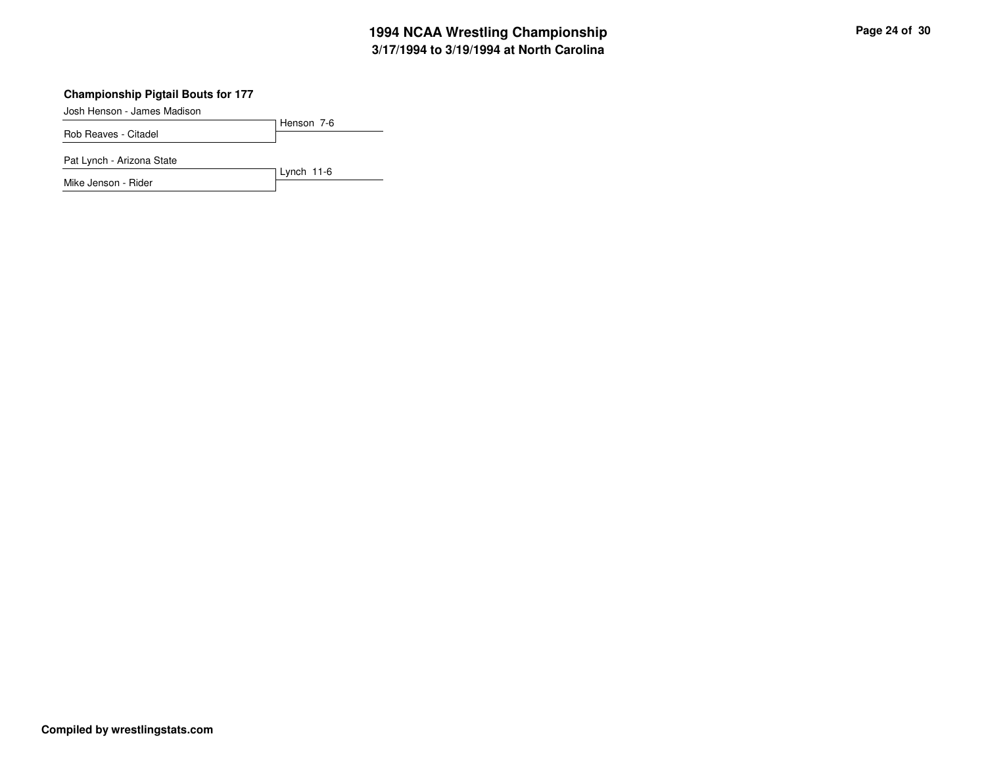### **Championship Pigtail Bouts for 177**

Josh Henson - James Madison

Henson 7-6Rob Reaves - Citadel

Lynch 11-6

Pat Lynch - Arizona State

Mike Jenson - Rider

**Compiled by wrestlingstats.com**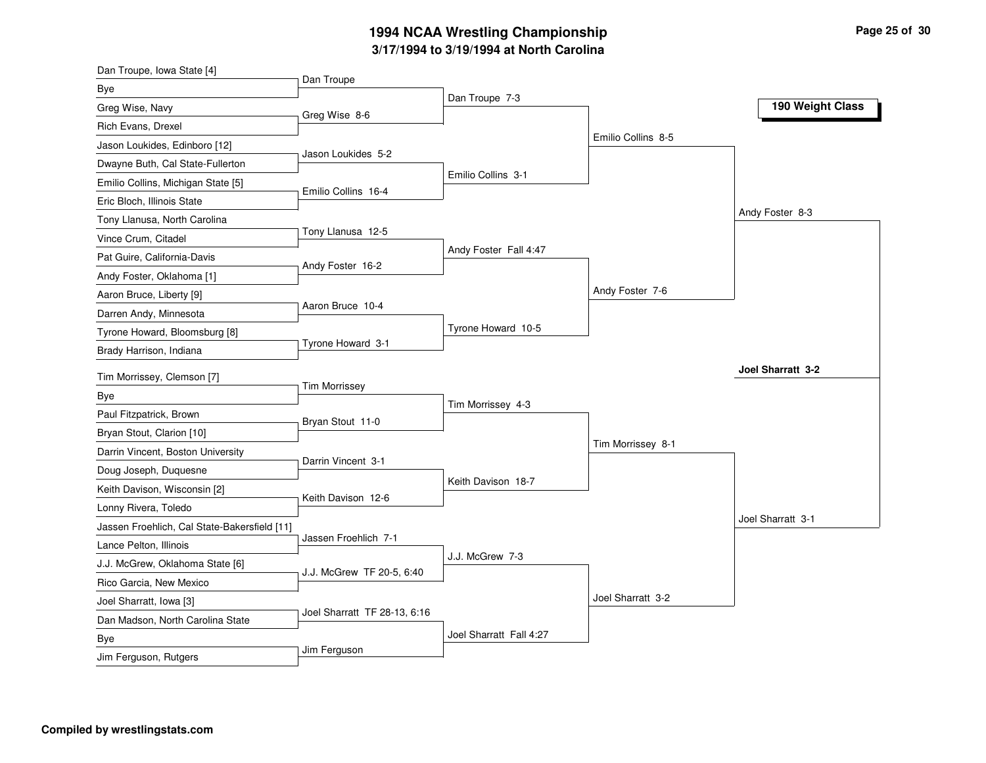| Dan Troupe, Iowa State [4]                   |                              |                         |                    |                   |
|----------------------------------------------|------------------------------|-------------------------|--------------------|-------------------|
| Bye                                          | Dan Troupe                   |                         |                    |                   |
| Greg Wise, Navy                              | Greg Wise 8-6                | Dan Troupe 7-3          |                    | 190 Weight Class  |
| Rich Evans, Drexel                           |                              |                         |                    |                   |
| Jason Loukides, Edinboro [12]                |                              |                         | Emilio Collins 8-5 |                   |
| Dwayne Buth, Cal State-Fullerton             | Jason Loukides 5-2           |                         |                    |                   |
| Emilio Collins, Michigan State [5]           |                              | Emilio Collins 3-1      |                    |                   |
| Eric Bloch, Illinois State                   | Emilio Collins 16-4          |                         |                    |                   |
| Tony Llanusa, North Carolina                 |                              |                         |                    | Andy Foster 8-3   |
| Vince Crum, Citadel                          | Tony Llanusa 12-5            |                         |                    |                   |
| Pat Guire, California-Davis                  |                              | Andy Foster Fall 4:47   |                    |                   |
| Andy Foster, Oklahoma [1]                    | Andy Foster 16-2             |                         |                    |                   |
| Aaron Bruce, Liberty [9]                     |                              |                         | Andy Foster 7-6    |                   |
| Darren Andy, Minnesota                       | Aaron Bruce 10-4             |                         |                    |                   |
| Tyrone Howard, Bloomsburg [8]                |                              | Tyrone Howard 10-5      |                    |                   |
| Brady Harrison, Indiana                      | Tyrone Howard 3-1            |                         |                    |                   |
| Tim Morrissey, Clemson [7]                   |                              |                         |                    | Joel Sharratt 3-2 |
| <b>Bye</b>                                   | <b>Tim Morrissey</b>         |                         |                    |                   |
| Paul Fitzpatrick, Brown                      |                              | Tim Morrissey 4-3       |                    |                   |
| Bryan Stout, Clarion [10]                    | Bryan Stout 11-0             |                         |                    |                   |
| Darrin Vincent, Boston University            |                              |                         | Tim Morrissey 8-1  |                   |
|                                              | Darrin Vincent 3-1           |                         |                    |                   |
| Doug Joseph, Duquesne                        |                              | Keith Davison 18-7      |                    |                   |
| Keith Davison, Wisconsin [2]                 | Keith Davison 12-6           |                         |                    |                   |
| Lonny Rivera, Toledo                         |                              |                         |                    | Joel Sharratt 3-1 |
| Jassen Froehlich, Cal State-Bakersfield [11] | Jassen Froehlich 7-1         |                         |                    |                   |
| Lance Pelton, Illinois                       |                              | J.J. McGrew 7-3         |                    |                   |
| J.J. McGrew, Oklahoma State [6]              | J.J. McGrew TF 20-5, 6:40    |                         |                    |                   |
| Rico Garcia, New Mexico                      |                              |                         | Joel Sharratt 3-2  |                   |
| Joel Sharratt, Iowa [3]                      | Joel Sharratt TF 28-13, 6:16 |                         |                    |                   |
| Dan Madson, North Carolina State             |                              |                         |                    |                   |
|                                              |                              |                         |                    |                   |
| <b>Bye</b><br>Jim Ferguson, Rutgers          | Jim Ferguson                 | Joel Sharratt Fall 4:27 |                    |                   |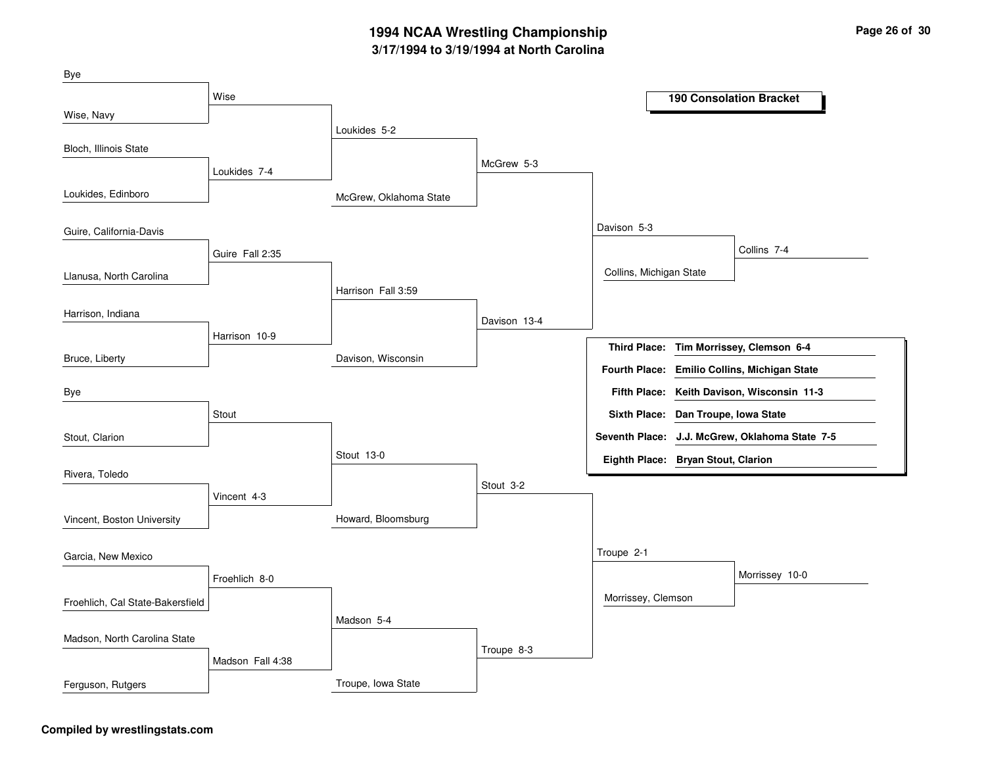| Bye                              |                  |                        |              |                                     |                                                |
|----------------------------------|------------------|------------------------|--------------|-------------------------------------|------------------------------------------------|
|                                  | Wise             |                        |              |                                     | <b>190 Consolation Bracket</b>                 |
| Wise, Navy                       |                  | Loukides 5-2           |              |                                     |                                                |
| Bloch, Illinois State            |                  |                        |              |                                     |                                                |
|                                  | Loukides 7-4     |                        | McGrew 5-3   |                                     |                                                |
| Loukides, Edinboro               |                  | McGrew, Oklahoma State |              |                                     |                                                |
| Guire, California-Davis          |                  |                        |              | Davison 5-3                         |                                                |
|                                  | Guire Fall 2:35  |                        |              |                                     | Collins 7-4                                    |
| Llanusa, North Carolina          |                  |                        |              | Collins, Michigan State             |                                                |
|                                  |                  | Harrison Fall 3:59     |              |                                     |                                                |
| Harrison, Indiana                |                  |                        | Davison 13-4 |                                     |                                                |
|                                  | Harrison 10-9    |                        |              |                                     | Third Place: Tim Morrissey, Clemson 6-4        |
| Bruce, Liberty                   |                  | Davison, Wisconsin     |              |                                     | Fourth Place: Emilio Collins, Michigan State   |
| Bye                              |                  |                        |              |                                     | Fifth Place: Keith Davison, Wisconsin 11-3     |
|                                  | Stout            |                        |              | Sixth Place: Dan Troupe, Iowa State |                                                |
| Stout, Clarion                   |                  |                        |              |                                     | Seventh Place: J.J. McGrew, Oklahoma State 7-5 |
|                                  |                  | Stout 13-0             |              | Eighth Place: Bryan Stout, Clarion  |                                                |
| Rivera, Toledo                   |                  |                        | Stout 3-2    |                                     |                                                |
|                                  | Vincent 4-3      |                        |              |                                     |                                                |
| Vincent, Boston University       |                  | Howard, Bloomsburg     |              |                                     |                                                |
| Garcia, New Mexico               |                  |                        |              | Troupe 2-1                          |                                                |
|                                  | Froehlich 8-0    |                        |              |                                     | Morrissey 10-0                                 |
| Froehlich, Cal State-Bakersfield |                  |                        |              | Morrissey, Clemson                  |                                                |
|                                  |                  | Madson 5-4             |              |                                     |                                                |
| Madson, North Carolina State     |                  |                        | Troupe 8-3   |                                     |                                                |
|                                  | Madson Fall 4:38 |                        |              |                                     |                                                |
| Ferguson, Rutgers                |                  | Troupe, Iowa State     |              |                                     |                                                |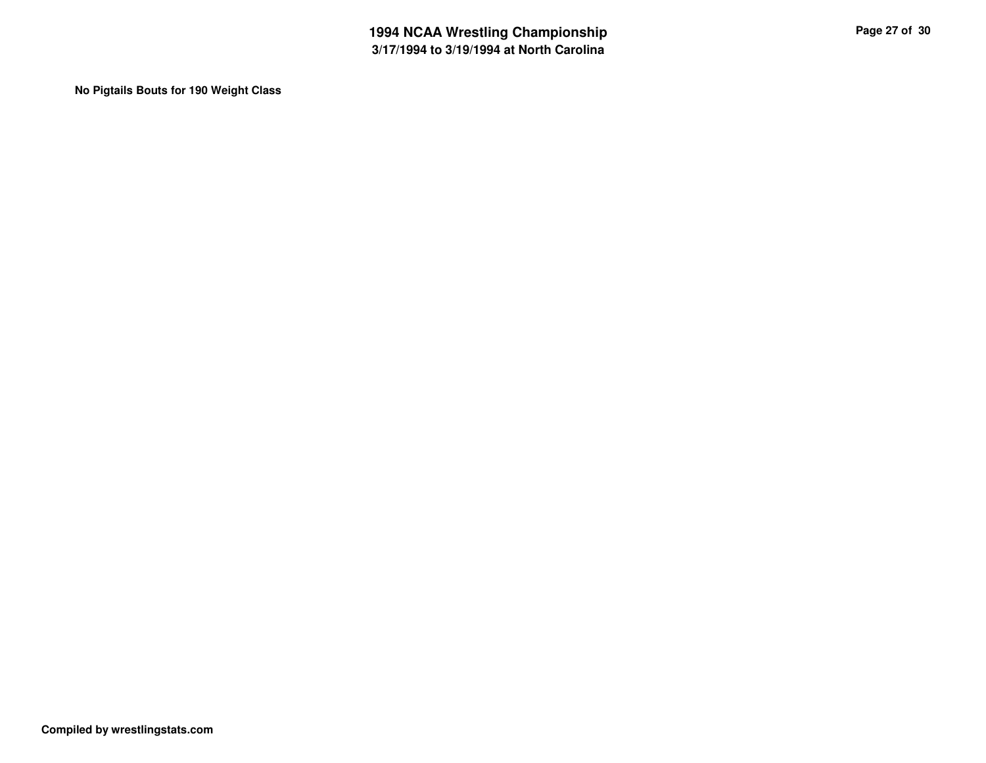**No Pigtails Bouts for 190 Weight Class**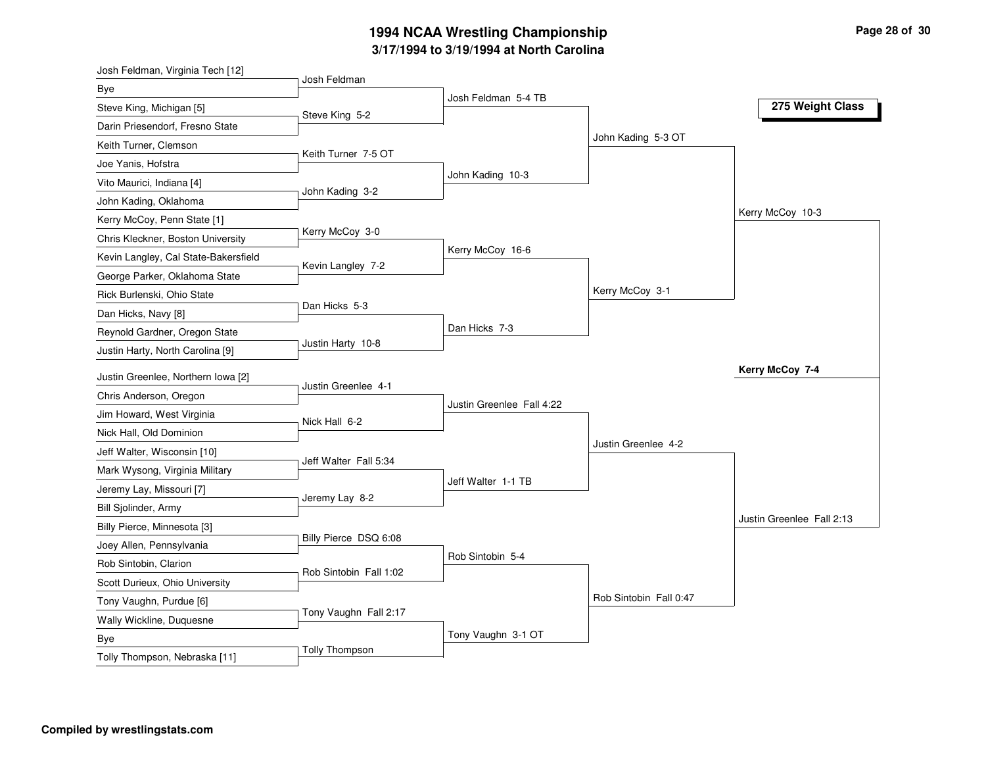| Josh Feldman, Virginia Tech [12]     |                        |                           |                        |                           |
|--------------------------------------|------------------------|---------------------------|------------------------|---------------------------|
| Bye                                  | Josh Feldman           |                           |                        |                           |
| Steve King, Michigan [5]             | Steve King 5-2         | Josh Feldman 5-4 TB       |                        | 275 Weight Class          |
| Darin Priesendorf, Fresno State      |                        |                           |                        |                           |
| Keith Turner, Clemson                |                        |                           | John Kading 5-3 OT     |                           |
| Joe Yanis, Hofstra                   | Keith Turner 7-5 OT    |                           |                        |                           |
| Vito Maurici, Indiana [4]            |                        | John Kading 10-3          |                        |                           |
| John Kading, Oklahoma                | John Kading 3-2        |                           |                        |                           |
| Kerry McCoy, Penn State [1]          |                        |                           |                        | Kerry McCoy 10-3          |
| Chris Kleckner, Boston University    | Kerry McCoy 3-0        |                           |                        |                           |
| Kevin Langley, Cal State-Bakersfield |                        | Kerry McCoy 16-6          |                        |                           |
| George Parker, Oklahoma State        | Kevin Langley 7-2      |                           |                        |                           |
| Rick Burlenski, Ohio State           |                        |                           | Kerry McCoy 3-1        |                           |
| Dan Hicks, Navy [8]                  | Dan Hicks 5-3          |                           |                        |                           |
| Reynold Gardner, Oregon State        |                        | Dan Hicks 7-3             |                        |                           |
| Justin Harty, North Carolina [9]     | Justin Harty 10-8      |                           |                        |                           |
| Justin Greenlee, Northern Iowa [2]   |                        |                           |                        | Kerry McCoy 7-4           |
| Chris Anderson, Oregon               | Justin Greenlee 4-1    |                           |                        |                           |
| Jim Howard, West Virginia            |                        | Justin Greenlee Fall 4:22 |                        |                           |
| Nick Hall, Old Dominion              | Nick Hall 6-2          |                           |                        |                           |
| Jeff Walter, Wisconsin [10]          |                        |                           | Justin Greenlee 4-2    |                           |
| Mark Wysong, Virginia Military       | Jeff Walter Fall 5:34  |                           |                        |                           |
| Jeremy Lay, Missouri [7]             |                        | Jeff Walter 1-1 TB        |                        |                           |
| Bill Sjolinder, Army                 | Jeremy Lay 8-2         |                           |                        |                           |
| Billy Pierce, Minnesota [3]          |                        |                           |                        | Justin Greenlee Fall 2:13 |
| Joey Allen, Pennsylvania             | Billy Pierce DSQ 6:08  |                           |                        |                           |
| Rob Sintobin, Clarion                |                        | Rob Sintobin 5-4          |                        |                           |
| Scott Durieux, Ohio University       | Rob Sintobin Fall 1:02 |                           |                        |                           |
| Tony Vaughn, Purdue [6]              |                        |                           |                        |                           |
| Wally Wickline, Duquesne             |                        |                           | Rob Sintobin Fall 0:47 |                           |
|                                      | Tony Vaughn Fall 2:17  |                           |                        |                           |
| <b>Bye</b>                           |                        | Tony Vaughn 3-1 OT        |                        |                           |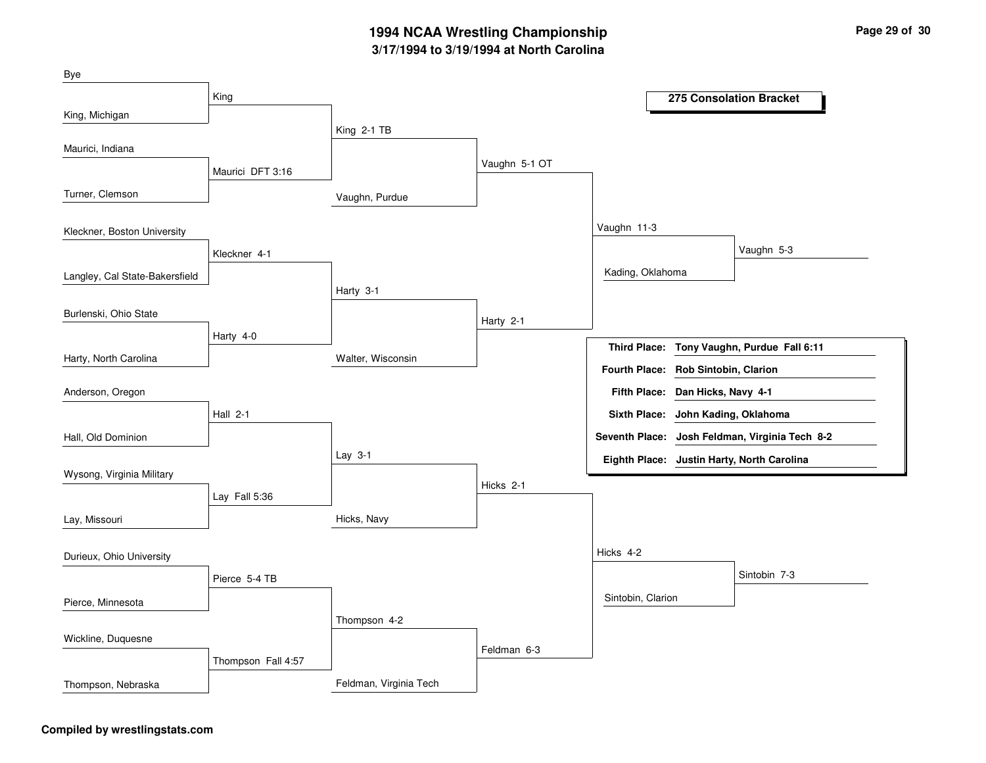| Bye                            |                    |                        |               |                                     |                                                |
|--------------------------------|--------------------|------------------------|---------------|-------------------------------------|------------------------------------------------|
|                                | King               |                        |               |                                     | <b>275 Consolation Bracket</b>                 |
| King, Michigan                 |                    |                        |               |                                     |                                                |
| Maurici, Indiana               |                    | King 2-1 TB            |               |                                     |                                                |
|                                | Maurici DFT 3:16   |                        | Vaughn 5-1 OT |                                     |                                                |
| Turner, Clemson                |                    |                        |               |                                     |                                                |
|                                |                    | Vaughn, Purdue         |               |                                     |                                                |
| Kleckner, Boston University    |                    |                        |               | Vaughn 11-3                         |                                                |
|                                | Kleckner 4-1       |                        |               |                                     | Vaughn 5-3                                     |
| Langley, Cal State-Bakersfield |                    |                        |               | Kading, Oklahoma                    |                                                |
|                                |                    | Harty 3-1              |               |                                     |                                                |
| Burlenski, Ohio State          |                    |                        | Harty 2-1     |                                     |                                                |
|                                | Harty 4-0          |                        |               |                                     | Third Place: Tony Vaughn, Purdue Fall 6:11     |
| Harty, North Carolina          |                    | Walter, Wisconsin      |               | Fourth Place: Rob Sintobin, Clarion |                                                |
| Anderson, Oregon               |                    |                        |               | Fifth Place: Dan Hicks, Navy 4-1    |                                                |
|                                |                    |                        |               |                                     |                                                |
|                                | <b>Hall 2-1</b>    |                        |               | <b>Sixth Place:</b>                 | John Kading, Oklahoma                          |
| Hall, Old Dominion             |                    | Lay 3-1                |               |                                     | Seventh Place: Josh Feldman, Virginia Tech 8-2 |
| Wysong, Virginia Military      |                    |                        |               |                                     | Eighth Place: Justin Harty, North Carolina     |
|                                | Lay Fall 5:36      |                        | Hicks 2-1     |                                     |                                                |
| Lay, Missouri                  |                    | Hicks, Navy            |               |                                     |                                                |
|                                |                    |                        |               |                                     |                                                |
| Durieux, Ohio University       |                    |                        |               | Hicks 4-2                           |                                                |
|                                | Pierce 5-4 TB      |                        |               |                                     | Sintobin 7-3                                   |
| Pierce, Minnesota              |                    |                        |               | Sintobin, Clarion                   |                                                |
|                                |                    | Thompson 4-2           |               |                                     |                                                |
| Wickline, Duquesne             |                    |                        | Feldman 6-3   |                                     |                                                |
|                                | Thompson Fall 4:57 |                        |               |                                     |                                                |
| Thompson, Nebraska             |                    | Feldman, Virginia Tech |               |                                     |                                                |

### **Compiled by wrestlingstats.com**